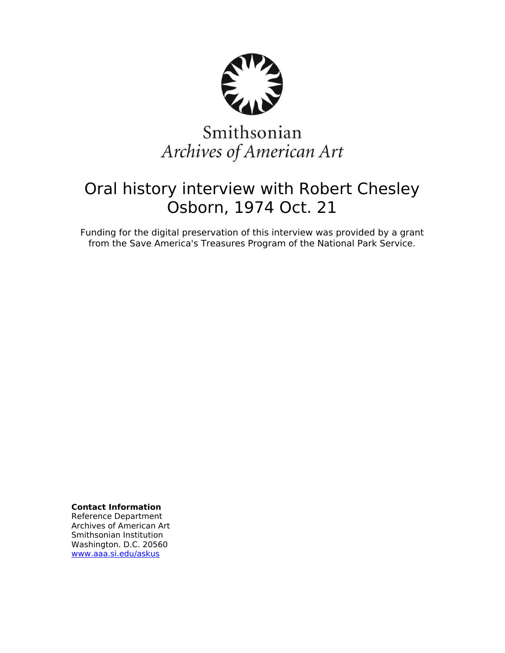

# Smithsonian Archives of American Art

## Oral history interview with Robert Chesley Osborn, 1974 Oct. 21

Funding for the digital preservation of this interview was provided by a grant from the Save America's Treasures Program of the National Park Service.

**Contact Information**

Reference Department Archives of American Art Smithsonian Institution Washington. D.C. 20560 [www.aaa.si.edu/askus](http://www.aaa.si.edu/askus)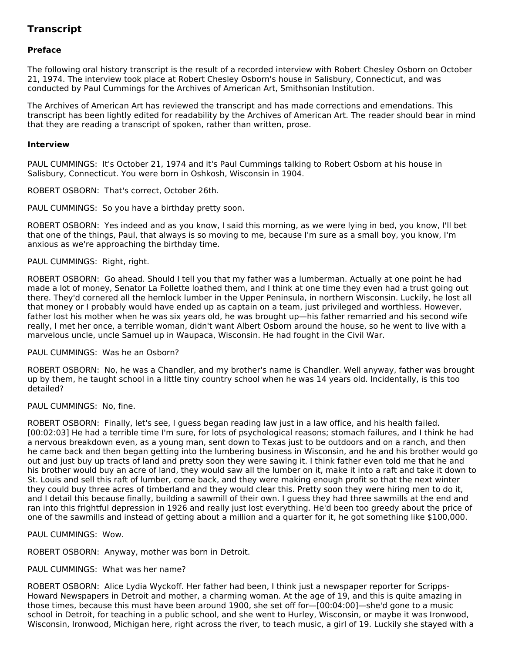## **Transcript**

## **Preface**

The following oral history transcript is the result of a recorded interview with Robert Chesley Osborn on October 21, 1974. The interview took place at Robert Chesley Osborn's house in Salisbury, Connecticut, and was conducted by Paul Cummings for the Archives of American Art, Smithsonian Institution.

The Archives of American Art has reviewed the transcript and has made corrections and emendations. This transcript has been lightly edited for readability by the Archives of American Art. The reader should bear in mind that they are reading a transcript of spoken, rather than written, prose.

#### **Interview**

PAUL CUMMINGS: It's October 21, 1974 and it's Paul Cummings talking to Robert Osborn at his house in Salisbury, Connecticut. You were born in Oshkosh, Wisconsin in 1904.

ROBERT OSBORN: That's correct, October 26th.

PAUL CUMMINGS: So you have a birthday pretty soon.

ROBERT OSBORN: Yes indeed and as you know, I said this morning, as we were lying in bed, you know, I'll bet that one of the things, Paul, that always is so moving to me, because I'm sure as a small boy, you know, I'm anxious as we're approaching the birthday time.

#### PAUL CUMMINGS: Right, right.

ROBERT OSBORN: Go ahead. Should I tell you that my father was a lumberman. Actually at one point he had made a lot of money, Senator La Follette loathed them, and I think at one time they even had a trust going out there. They'd cornered all the hemlock lumber in the Upper Peninsula, in northern Wisconsin. Luckily, he lost all that money or I probably would have ended up as captain on a team, just privileged and worthless. However, father lost his mother when he was six years old, he was brought up—his father remarried and his second wife really, I met her once, a terrible woman, didn't want Albert Osborn around the house, so he went to live with a marvelous uncle, uncle Samuel up in Waupaca, Wisconsin. He had fought in the Civil War.

#### PAUL CUMMINGS: Was he an Osborn?

ROBERT OSBORN: No, he was a Chandler, and my brother's name is Chandler. Well anyway, father was brought up by them, he taught school in a little tiny country school when he was 14 years old. Incidentally, is this too detailed?

## PAUL CUMMINGS: No, fine.

ROBERT OSBORN: Finally, let's see, I guess began reading law just in a law office, and his health failed. [00:02:03] He had a terrible time I'm sure, for lots of psychological reasons; stomach failures, and I think he had a nervous breakdown even, as a young man, sent down to Texas just to be outdoors and on a ranch, and then he came back and then began getting into the lumbering business in Wisconsin, and he and his brother would go out and just buy up tracts of land and pretty soon they were sawing it. I think father even told me that he and his brother would buy an acre of land, they would saw all the lumber on it, make it into a raft and take it down to St. Louis and sell this raft of lumber, come back, and they were making enough profit so that the next winter they could buy three acres of timberland and they would clear this. Pretty soon they were hiring men to do it, and I detail this because finally, building a sawmill of their own. I guess they had three sawmills at the end and ran into this frightful depression in 1926 and really just lost everything. He'd been too greedy about the price of one of the sawmills and instead of getting about a million and a quarter for it, he got something like \$100,000.

PAUL CUMMINGS: Wow.

ROBERT OSBORN: Anyway, mother was born in Detroit.

## PAUL CUMMINGS: What was her name?

ROBERT OSBORN: Alice Lydia Wyckoff. Her father had been, I think just a newspaper reporter for Scripps-Howard Newspapers in Detroit and mother, a charming woman. At the age of 19, and this is quite amazing in those times, because this must have been around 1900, she set off for—[00:04:00]—she'd gone to a music school in Detroit, for teaching in a public school, and she went to Hurley, Wisconsin, or maybe it was Ironwood, Wisconsin, Ironwood, Michigan here, right across the river, to teach music, a girl of 19. Luckily she stayed with a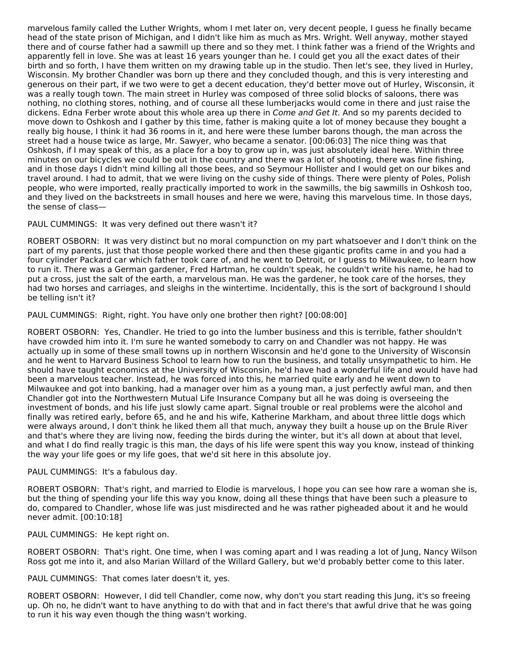marvelous family called the Luther Wrights, whom I met later on, very decent people, I guess he finally became head of the state prison of Michigan, and I didn't like him as much as Mrs. Wright. Well anyway, mother stayed there and of course father had a sawmill up there and so they met. I think father was a friend of the Wrights and apparently fell in love. She was at least 16 years younger than he. I could get you all the exact dates of their birth and so forth, I have them written on my drawing table up in the studio. Then let's see, they lived in Hurley, Wisconsin. My brother Chandler was born up there and they concluded though, and this is very interesting and generous on their part, if we two were to get a decent education, they'd better move out of Hurley, Wisconsin, it was a really tough town. The main street in Hurley was composed of three solid blocks of saloons, there was nothing, no clothing stores, nothing, and of course all these lumberjacks would come in there and just raise the dickens. Edna Ferber wrote about this whole area up there in Come and Get It. And so my parents decided to move down to Oshkosh and I gather by this time, father is making quite a lot of money because they bought a really big house, I think it had 36 rooms in it, and here were these lumber barons though, the man across the street had a house twice as large, Mr. Sawyer, who became a senator. [00:06:03] The nice thing was that Oshkosh, if I may speak of this, as a place for a boy to grow up in, was just absolutely ideal here. Within three minutes on our bicycles we could be out in the country and there was a lot of shooting, there was fine fishing, and in those days I didn't mind killing all those bees, and so Seymour Hollister and I would get on our bikes and travel around. I had to admit, that we were living on the cushy side of things. There were plenty of Poles, Polish people, who were imported, really practically imported to work in the sawmills, the big sawmills in Oshkosh too, and they lived on the backstreets in small houses and here we were, having this marvelous time. In those days, the sense of class—

PAUL CUMMINGS: It was very defined out there wasn't it?

ROBERT OSBORN: It was very distinct but no moral compunction on my part whatsoever and I don't think on the part of my parents, just that those people worked there and then these gigantic profits came in and you had a four cylinder Packard car which father took care of, and he went to Detroit, or I guess to Milwaukee, to learn how to run it. There was a German gardener, Fred Hartman, he couldn't speak, he couldn't write his name, he had to put a cross, just the salt of the earth, a marvelous man. He was the gardener, he took care of the horses, they had two horses and carriages, and sleighs in the wintertime. Incidentally, this is the sort of background I should be telling isn't it?

PAUL CUMMINGS: Right, right. You have only one brother then right? [00:08:00]

ROBERT OSBORN: Yes, Chandler. He tried to go into the lumber business and this is terrible, father shouldn't have crowded him into it. I'm sure he wanted somebody to carry on and Chandler was not happy. He was actually up in some of these small towns up in northern Wisconsin and he'd gone to the University of Wisconsin and he went to Harvard Business School to learn how to run the business, and totally unsympathetic to him. He should have taught economics at the University of Wisconsin, he'd have had a wonderful life and would have had been a marvelous teacher. Instead, he was forced into this, he married quite early and he went down to Milwaukee and got into banking, had a manager over him as a young man, a just perfectly awful man, and then Chandler got into the Northwestern Mutual Life Insurance Company but all he was doing is overseeing the investment of bonds, and his life just slowly came apart. Signal trouble or real problems were the alcohol and finally was retired early, before 65, and he and his wife, Katherine Markham, and about three little dogs which were always around, I don't think he liked them all that much, anyway they built a house up on the Brule River and that's where they are living now, feeding the birds during the winter, but it's all down at about that level, and what I do find really tragic is this man, the days of his life were spent this way you know, instead of thinking the way your life goes or my life goes, that we'd sit here in this absolute joy.

#### PAUL CUMMINGS: It's a fabulous day.

ROBERT OSBORN: That's right, and married to Elodie is marvelous, I hope you can see how rare a woman she is, but the thing of spending your life this way you know, doing all these things that have been such a pleasure to do, compared to Chandler, whose life was just misdirected and he was rather pigheaded about it and he would never admit. [00:10:18]

PAUL CUMMINGS: He kept right on.

ROBERT OSBORN: That's right. One time, when I was coming apart and I was reading a lot of Jung, Nancy Wilson Ross got me into it, and also Marian Willard of the Willard Gallery, but we'd probably better come to this later.

PAUL CUMMINGS: That comes later doesn't it, yes.

ROBERT OSBORN: However, I did tell Chandler, come now, why don't you start reading this Jung, it's so freeing up. Oh no, he didn't want to have anything to do with that and in fact there's that awful drive that he was going to run it his way even though the thing wasn't working.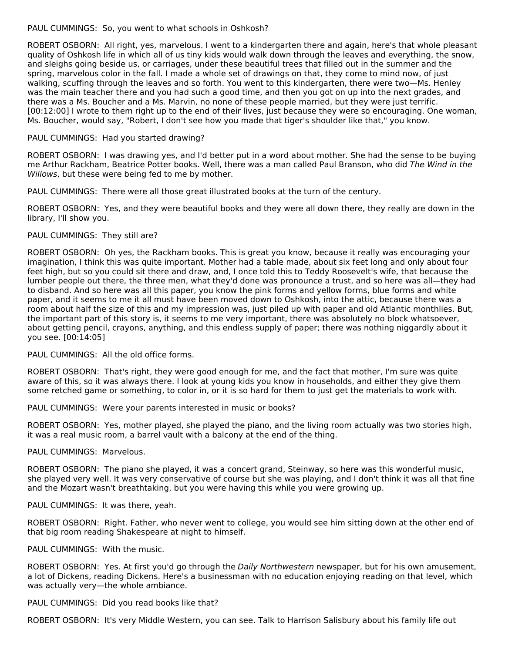#### PAUL CUMMINGS: So, you went to what schools in Oshkosh?

ROBERT OSBORN: All right, yes, marvelous. I went to a kindergarten there and again, here's that whole pleasant quality of Oshkosh life in which all of us tiny kids would walk down through the leaves and everything, the snow, and sleighs going beside us, or carriages, under these beautiful trees that filled out in the summer and the spring, marvelous color in the fall. I made a whole set of drawings on that, they come to mind now, of just walking, scuffing through the leaves and so forth. You went to this kindergarten, there were two—Ms. Henley was the main teacher there and you had such a good time, and then you got on up into the next grades, and there was a Ms. Boucher and a Ms. Marvin, no none of these people married, but they were just terrific. [00:12:00] I wrote to them right up to the end of their lives, just because they were so encouraging. One woman, Ms. Boucher, would say, "Robert, I don't see how you made that tiger's shoulder like that," you know.

## PAUL CUMMINGS: Had you started drawing?

ROBERT OSBORN: I was drawing yes, and I'd better put in a word about mother. She had the sense to be buying me Arthur Rackham, Beatrice Potter books. Well, there was a man called Paul Branson, who did The Wind in the Willows, but these were being fed to me by mother.

PAUL CUMMINGS: There were all those great illustrated books at the turn of the century.

ROBERT OSBORN: Yes, and they were beautiful books and they were all down there, they really are down in the library, I'll show you.

## PAUL CUMMINGS: They still are?

ROBERT OSBORN: Oh yes, the Rackham books. This is great you know, because it really was encouraging your imagination, I think this was quite important. Mother had a table made, about six feet long and only about four feet high, but so you could sit there and draw, and, I once told this to Teddy Roosevelt's wife, that because the lumber people out there, the three men, what they'd done was pronounce a trust, and so here was all—they had to disband. And so here was all this paper, you know the pink forms and yellow forms, blue forms and white paper, and it seems to me it all must have been moved down to Oshkosh, into the attic, because there was a room about half the size of this and my impression was, just piled up with paper and old Atlantic monthlies. But, the important part of this story is, it seems to me very important, there was absolutely no block whatsoever, about getting pencil, crayons, anything, and this endless supply of paper; there was nothing niggardly about it you see. [00:14:05]

PAUL CUMMINGS: All the old office forms.

ROBERT OSBORN: That's right, they were good enough for me, and the fact that mother, I'm sure was quite aware of this, so it was always there. I look at young kids you know in households, and either they give them some retched game or something, to color in, or it is so hard for them to just get the materials to work with.

PAUL CUMMINGS: Were your parents interested in music or books?

ROBERT OSBORN: Yes, mother played, she played the piano, and the living room actually was two stories high, it was a real music room, a barrel vault with a balcony at the end of the thing.

#### PAUL CUMMINGS: Marvelous.

ROBERT OSBORN: The piano she played, it was a concert grand, Steinway, so here was this wonderful music, she played very well. It was very conservative of course but she was playing, and I don't think it was all that fine and the Mozart wasn't breathtaking, but you were having this while you were growing up.

PAUL CUMMINGS: It was there, yeah.

ROBERT OSBORN: Right. Father, who never went to college, you would see him sitting down at the other end of that big room reading Shakespeare at night to himself.

PAUL CUMMINGS: With the music.

ROBERT OSBORN: Yes. At first you'd go through the Daily Northwestern newspaper, but for his own amusement, a lot of Dickens, reading Dickens. Here's a businessman with no education enjoying reading on that level, which was actually very—the whole ambiance.

PAUL CUMMINGS: Did you read books like that?

ROBERT OSBORN: It's very Middle Western, you can see. Talk to Harrison Salisbury about his family life out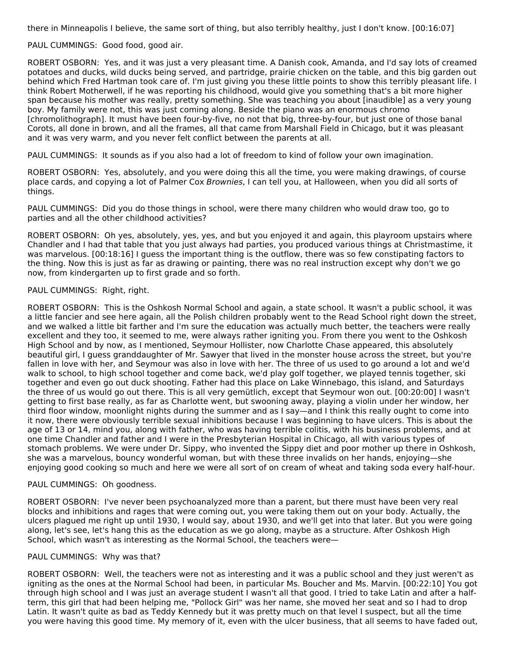there in Minneapolis I believe, the same sort of thing, but also terribly healthy, just I don't know. [00:16:07]

PAUL CUMMINGS: Good food, good air.

ROBERT OSBORN: Yes, and it was just a very pleasant time. A Danish cook, Amanda, and I'd say lots of creamed potatoes and ducks, wild ducks being served, and partridge, prairie chicken on the table, and this big garden out behind which Fred Hartman took care of. I'm just giving you these little points to show this terribly pleasant life. I think Robert Motherwell, if he was reporting his childhood, would give you something that's a bit more higher span because his mother was really, pretty something. She was teaching you about [inaudible] as a very young boy. My family were not, this was just coming along. Beside the piano was an enormous chromo [chromolithograph]. It must have been four-by-five, no not that big, three-by-four, but just one of those banal Corots, all done in brown, and all the frames, all that came from Marshall Field in Chicago, but it was pleasant and it was very warm, and you never felt conflict between the parents at all.

PAUL CUMMINGS: It sounds as if you also had a lot of freedom to kind of follow your own imagination.

ROBERT OSBORN: Yes, absolutely, and you were doing this all the time, you were making drawings, of course place cards, and copying a lot of Palmer Cox Brownies, I can tell you, at Halloween, when you did all sorts of things.

PAUL CUMMINGS: Did you do those things in school, were there many children who would draw too, go to parties and all the other childhood activities?

ROBERT OSBORN: Oh yes, absolutely, yes, yes, and but you enjoyed it and again, this playroom upstairs where Chandler and I had that table that you just always had parties, you produced various things at Christmastime, it was marvelous. [00:18:16] I guess the important thing is the outflow, there was so few constipating factors to the thing. Now this is just as far as drawing or painting, there was no real instruction except why don't we go now, from kindergarten up to first grade and so forth.

## PAUL CUMMINGS: Right, right.

ROBERT OSBORN: This is the Oshkosh Normal School and again, a state school. It wasn't a public school, it was a little fancier and see here again, all the Polish children probably went to the Read School right down the street, and we walked a little bit farther and I'm sure the education was actually much better, the teachers were really excellent and they too, it seemed to me, were always rather igniting you. From there you went to the Oshkosh High School and by now, as I mentioned, Seymour Hollister, now Charlotte Chase appeared, this absolutely beautiful girl, I guess granddaughter of Mr. Sawyer that lived in the monster house across the street, but you're fallen in love with her, and Seymour was also in love with her. The three of us used to go around a lot and we'd walk to school, to high school together and come back, we'd play golf together, we played tennis together, ski together and even go out duck shooting. Father had this place on Lake Winnebago, this island, and Saturdays the three of us would go out there. This is all very gemütlich, except that Seymour won out. [00:20:00] I wasn't getting to first base really, as far as Charlotte went, but swooning away, playing a violin under her window, her third floor window, moonlight nights during the summer and as I say—and I think this really ought to come into it now, there were obviously terrible sexual inhibitions because I was beginning to have ulcers. This is about the age of 13 or 14, mind you, along with father, who was having terrible colitis, with his business problems, and at one time Chandler and father and I were in the Presbyterian Hospital in Chicago, all with various types of stomach problems. We were under Dr. Sippy, who invented the Sippy diet and poor mother up there in Oshkosh, she was a marvelous, bouncy wonderful woman, but with these three invalids on her hands, enjoying—she enjoying good cooking so much and here we were all sort of on cream of wheat and taking soda every half-hour.

#### PAUL CUMMINGS: Oh goodness.

ROBERT OSBORN: I've never been psychoanalyzed more than a parent, but there must have been very real blocks and inhibitions and rages that were coming out, you were taking them out on your body. Actually, the ulcers plagued me right up until 1930, I would say, about 1930, and we'll get into that later. But you were going along, let's see, let's hang this as the education as we go along, maybe as a structure. After Oshkosh High School, which wasn't as interesting as the Normal School, the teachers were—

#### PAUL CUMMINGS: Why was that?

ROBERT OSBORN: Well, the teachers were not as interesting and it was a public school and they just weren't as igniting as the ones at the Normal School had been, in particular Ms. Boucher and Ms. Marvin. [00:22:10] You got through high school and I was just an average student I wasn't all that good. I tried to take Latin and after a halfterm, this girl that had been helping me, "Pollock Girl" was her name, she moved her seat and so I had to drop Latin. It wasn't quite as bad as Teddy Kennedy but it was pretty much on that level I suspect, but all the time you were having this good time. My memory of it, even with the ulcer business, that all seems to have faded out,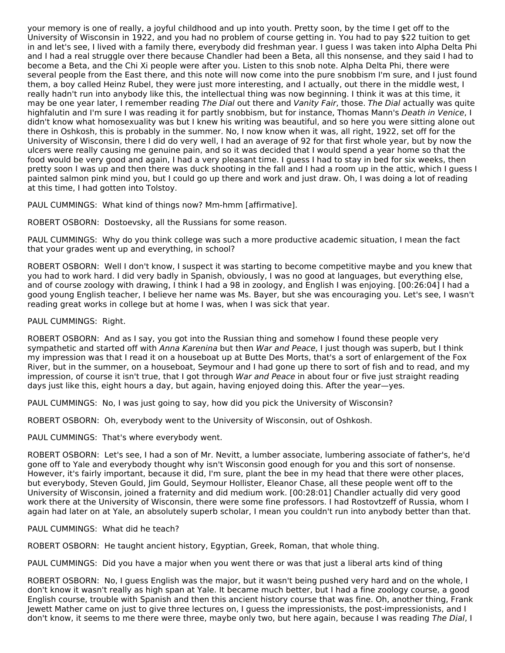your memory is one of really, a joyful childhood and up into youth. Pretty soon, by the time I get off to the University of Wisconsin in 1922, and you had no problem of course getting in. You had to pay \$22 tuition to get in and let's see, I lived with a family there, everybody did freshman year. I guess I was taken into Alpha Delta Phi and I had a real struggle over there because Chandler had been a Beta, all this nonsense, and they said I had to become a Beta, and the Chi Xi people were after you. Listen to this snob note. Alpha Delta Phi, there were several people from the East there, and this note will now come into the pure snobbism I'm sure, and I just found them, a boy called Heinz Rubel, they were just more interesting, and I actually, out there in the middle west, I really hadn't run into anybody like this, the intellectual thing was now beginning. I think it was at this time, it may be one year later, I remember reading The Dial out there and Vanity Fair, those. The Dial actually was quite highfalutin and I'm sure I was reading it for partly snobbism, but for instance, Thomas Mann's Death in Venice, I didn't know what homosexuality was but I knew his writing was beautiful, and so here you were sitting alone out there in Oshkosh, this is probably in the summer. No, I now know when it was, all right, 1922, set off for the University of Wisconsin, there I did do very well, I had an average of 92 for that first whole year, but by now the ulcers were really causing me genuine pain, and so it was decided that I would spend a year home so that the food would be very good and again, I had a very pleasant time. I guess I had to stay in bed for six weeks, then pretty soon I was up and then there was duck shooting in the fall and I had a room up in the attic, which I guess I painted salmon pink mind you, but I could go up there and work and just draw. Oh, I was doing a lot of reading at this time, I had gotten into Tolstoy.

PAUL CUMMINGS: What kind of things now? Mm-hmm [affirmative].

ROBERT OSBORN: Dostoevsky, all the Russians for some reason.

PAUL CUMMINGS: Why do you think college was such a more productive academic situation, I mean the fact that your grades went up and everything, in school?

ROBERT OSBORN: Well I don't know, I suspect it was starting to become competitive maybe and you knew that you had to work hard. I did very badly in Spanish, obviously, I was no good at languages, but everything else, and of course zoology with drawing, I think I had a 98 in zoology, and English I was enjoying. [00:26:04] I had a good young English teacher, I believe her name was Ms. Bayer, but she was encouraging you. Let's see, I wasn't reading great works in college but at home I was, when I was sick that year.

PAUL CUMMINGS: Right.

ROBERT OSBORN: And as I say, you got into the Russian thing and somehow I found these people very sympathetic and started off with Anna Karenina but then War and Peace, I just though was superb, but I think my impression was that I read it on a houseboat up at Butte Des Morts, that's a sort of enlargement of the Fox River, but in the summer, on a houseboat, Seymour and I had gone up there to sort of fish and to read, and my impression, of course it isn't true, that I got through War and Peace in about four or five just straight reading days just like this, eight hours a day, but again, having enjoyed doing this. After the year—yes.

PAUL CUMMINGS: No, I was just going to say, how did you pick the University of Wisconsin?

ROBERT OSBORN: Oh, everybody went to the University of Wisconsin, out of Oshkosh.

PAUL CUMMINGS: That's where everybody went.

ROBERT OSBORN: Let's see, I had a son of Mr. Nevitt, a lumber associate, lumbering associate of father's, he'd gone off to Yale and everybody thought why isn't Wisconsin good enough for you and this sort of nonsense. However, it's fairly important, because it did, I'm sure, plant the bee in my head that there were other places, but everybody, Steven Gould, Jim Gould, Seymour Hollister, Eleanor Chase, all these people went off to the University of Wisconsin, joined a fraternity and did medium work. [00:28:01] Chandler actually did very good work there at the University of Wisconsin, there were some fine professors. I had Rostovtzeff of Russia, whom I again had later on at Yale, an absolutely superb scholar, I mean you couldn't run into anybody better than that.

PAUL CUMMINGS: What did he teach?

ROBERT OSBORN: He taught ancient history, Egyptian, Greek, Roman, that whole thing.

PAUL CUMMINGS: Did you have a major when you went there or was that just a liberal arts kind of thing

ROBERT OSBORN: No, I guess English was the major, but it wasn't being pushed very hard and on the whole, I don't know it wasn't really as high span at Yale. It became much better, but I had a fine zoology course, a good English course, trouble with Spanish and then this ancient history course that was fine. Oh, another thing, Frank Jewett Mather came on just to give three lectures on, I guess the impressionists, the post-impressionists, and I don't know, it seems to me there were three, maybe only two, but here again, because I was reading The Dial, I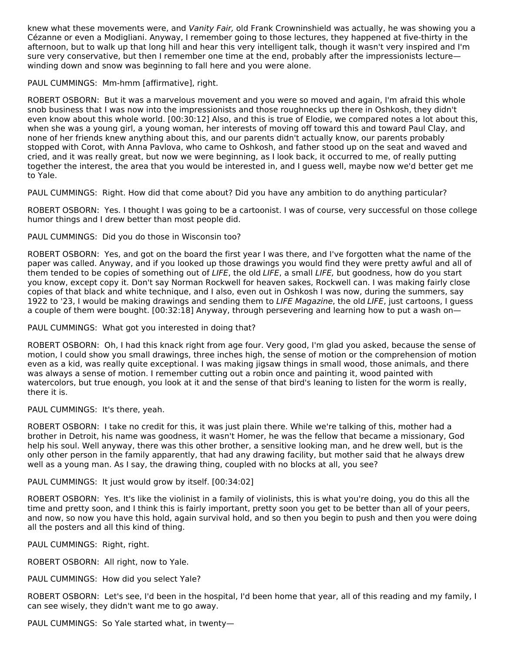knew what these movements were, and Vanity Fair, old Frank Crowninshield was actually, he was showing you a Cézanne or even a Modigliani. Anyway, I remember going to those lectures, they happened at five-thirty in the afternoon, but to walk up that long hill and hear this very intelligent talk, though it wasn't very inspired and I'm sure very conservative, but then I remember one time at the end, probably after the impressionists lecture winding down and snow was beginning to fall here and you were alone.

PAUL CUMMINGS: Mm-hmm [affirmative], right.

ROBERT OSBORN: But it was a marvelous movement and you were so moved and again, I'm afraid this whole snob business that I was now into the impressionists and those roughnecks up there in Oshkosh, they didn't even know about this whole world. [00:30:12] Also, and this is true of Elodie, we compared notes a lot about this, when she was a young girl, a young woman, her interests of moving off toward this and toward Paul Clay, and none of her friends knew anything about this, and our parents didn't actually know, our parents probably stopped with Corot, with Anna Pavlova, who came to Oshkosh, and father stood up on the seat and waved and cried, and it was really great, but now we were beginning, as I look back, it occurred to me, of really putting together the interest, the area that you would be interested in, and I guess well, maybe now we'd better get me to Yale.

PAUL CUMMINGS: Right. How did that come about? Did you have any ambition to do anything particular?

ROBERT OSBORN: Yes. I thought I was going to be a cartoonist. I was of course, very successful on those college humor things and I drew better than most people did.

PAUL CUMMINGS: Did you do those in Wisconsin too?

ROBERT OSBORN: Yes, and got on the board the first year I was there, and I've forgotten what the name of the paper was called. Anyway, and if you looked up those drawings you would find they were pretty awful and all of them tended to be copies of something out of *LIFE*, the old *LIFE*, a small *LIFE*, but goodness, how do you start you know, except copy it. Don't say Norman Rockwell for heaven sakes, Rockwell can. I was making fairly close copies of that black and white technique, and I also, even out in Oshkosh I was now, during the summers, say 1922 to '23, I would be making drawings and sending them to LIFE Magazine, the old LIFE, just cartoons, I guess a couple of them were bought. [00:32:18] Anyway, through persevering and learning how to put a wash on—

PAUL CUMMINGS: What got you interested in doing that?

ROBERT OSBORN: Oh, I had this knack right from age four. Very good, I'm glad you asked, because the sense of motion, I could show you small drawings, three inches high, the sense of motion or the comprehension of motion even as a kid, was really quite exceptional. I was making jigsaw things in small wood, those animals, and there was always a sense of motion. I remember cutting out a robin once and painting it, wood painted with watercolors, but true enough, you look at it and the sense of that bird's leaning to listen for the worm is really, there it is.

PAUL CUMMINGS: It's there, yeah.

ROBERT OSBORN: I take no credit for this, it was just plain there. While we're talking of this, mother had a brother in Detroit, his name was goodness, it wasn't Homer, he was the fellow that became a missionary, God help his soul. Well anyway, there was this other brother, a sensitive looking man, and he drew well, but is the only other person in the family apparently, that had any drawing facility, but mother said that he always drew well as a young man. As I say, the drawing thing, coupled with no blocks at all, you see?

PAUL CUMMINGS: It just would grow by itself. [00:34:02]

ROBERT OSBORN: Yes. It's like the violinist in a family of violinists, this is what you're doing, you do this all the time and pretty soon, and I think this is fairly important, pretty soon you get to be better than all of your peers, and now, so now you have this hold, again survival hold, and so then you begin to push and then you were doing all the posters and all this kind of thing.

PAUL CUMMINGS: Right, right.

ROBERT OSBORN: All right, now to Yale.

PAUL CUMMINGS: How did you select Yale?

ROBERT OSBORN: Let's see, I'd been in the hospital, I'd been home that year, all of this reading and my family, I can see wisely, they didn't want me to go away.

PAUL CUMMINGS: So Yale started what, in twenty—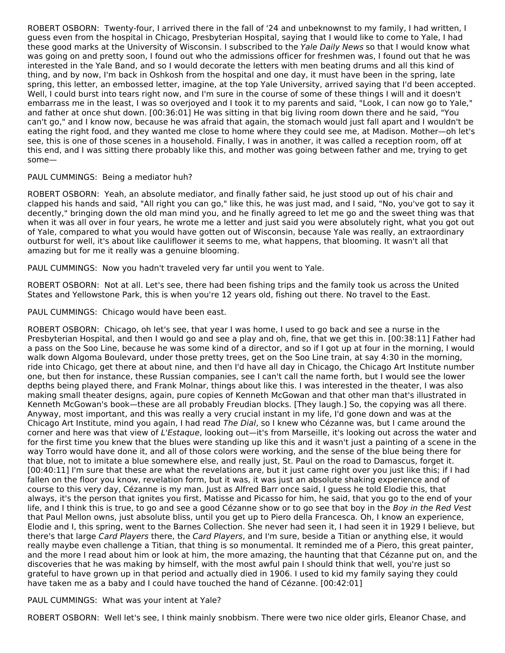ROBERT OSBORN: Twenty-four, I arrived there in the fall of '24 and unbeknownst to my family, I had written, I guess even from the hospital in Chicago, Presbyterian Hospital, saying that I would like to come to Yale, I had these good marks at the University of Wisconsin. I subscribed to the Yale Daily News so that I would know what was going on and pretty soon, I found out who the admissions officer for freshmen was, I found out that he was interested in the Yale Band, and so I would decorate the letters with men beating drums and all this kind of thing, and by now, I'm back in Oshkosh from the hospital and one day, it must have been in the spring, late spring, this letter, an embossed letter, imagine, at the top Yale University, arrived saying that I'd been accepted. Well, I could burst into tears right now, and I'm sure in the course of some of these things I will and it doesn't embarrass me in the least, I was so overjoyed and I took it to my parents and said, "Look, I can now go to Yale," and father at once shut down. [00:36:01] He was sitting in that big living room down there and he said, "You can't go," and I know now, because he was afraid that again, the stomach would just fall apart and I wouldn't be eating the right food, and they wanted me close to home where they could see me, at Madison. Mother—oh let's see, this is one of those scenes in a household. Finally, I was in another, it was called a reception room, off at this end, and I was sitting there probably like this, and mother was going between father and me, trying to get some—

#### PAUL CUMMINGS: Being a mediator huh?

ROBERT OSBORN: Yeah, an absolute mediator, and finally father said, he just stood up out of his chair and clapped his hands and said, "All right you can go," like this, he was just mad, and I said, "No, you've got to say it decently," bringing down the old man mind you, and he finally agreed to let me go and the sweet thing was that when it was all over in four years, he wrote me a letter and just said you were absolutely right, what you got out of Yale, compared to what you would have gotten out of Wisconsin, because Yale was really, an extraordinary outburst for well, it's about like cauliflower it seems to me, what happens, that blooming. It wasn't all that amazing but for me it really was a genuine blooming.

PAUL CUMMINGS: Now you hadn't traveled very far until you went to Yale.

ROBERT OSBORN: Not at all. Let's see, there had been fishing trips and the family took us across the United States and Yellowstone Park, this is when you're 12 years old, fishing out there. No travel to the East.

PAUL CUMMINGS: Chicago would have been east.

ROBERT OSBORN: Chicago, oh let's see, that year I was home, I used to go back and see a nurse in the Presbyterian Hospital, and then I would go and see a play and oh, fine, that we get this in. [00:38:11] Father had a pass on the Soo Line, because he was some kind of a director, and so if I got up at four in the morning, I would walk down Algoma Boulevard, under those pretty trees, get on the Soo Line train, at say 4:30 in the morning, ride into Chicago, get there at about nine, and then I'd have all day in Chicago, the Chicago Art Institute number one, but then for instance, these Russian companies, see I can't call the name forth, but I would see the lower depths being played there, and Frank Molnar, things about like this. I was interested in the theater, I was also making small theater designs, again, pure copies of Kenneth McGowan and that other man that's illustrated in Kenneth McGowan's book—these are all probably Freudian blocks. [They laugh.] So, the copying was all there. Anyway, most important, and this was really a very crucial instant in my life, I'd gone down and was at the Chicago Art Institute, mind you again, I had read The Dial, so I knew who Cézanne was, but I came around the corner and here was that view of L'Estaque, looking out—it's from Marseille, it's looking out across the water and for the first time you knew that the blues were standing up like this and it wasn't just a painting of a scene in the way Torro would have done it, and all of those colors were working, and the sense of the blue being there for that blue, not to imitate a blue somewhere else, and really just, St. Paul on the road to Damascus, forget it. [00:40:11] I'm sure that these are what the revelations are, but it just came right over you just like this; if I had fallen on the floor you know, revelation form, but it was, it was just an absolute shaking experience and of course to this very day, Cézanne is my man. Just as Alfred Barr once said, I guess he told Elodie this, that always, it's the person that ignites you first, Matisse and Picasso for him, he said, that you go to the end of your life, and I think this is true, to go and see a good Cézanne show or to go see that boy in the Boy in the Red Vest that Paul Mellon owns, just absolute bliss, until you get up to Piero della Francesca. Oh, I know an experience, Elodie and I, this spring, went to the Barnes Collection. She never had seen it, I had seen it in 1929 I believe, but there's that large Card Players there, the Card Players, and I'm sure, beside a Titian or anything else, it would really maybe even challenge a Titian, that thing is so monumental. It reminded me of a Piero, this great painter, and the more I read about him or look at him, the more amazing, the haunting that that Cézanne put on, and the discoveries that he was making by himself, with the most awful pain I should think that well, you're just so grateful to have grown up in that period and actually died in 1906. I used to kid my family saying they could have taken me as a baby and I could have touched the hand of Cézanne. [00:42:01]

PAUL CUMMINGS: What was your intent at Yale?

ROBERT OSBORN: Well let's see, I think mainly snobbism. There were two nice older girls, Eleanor Chase, and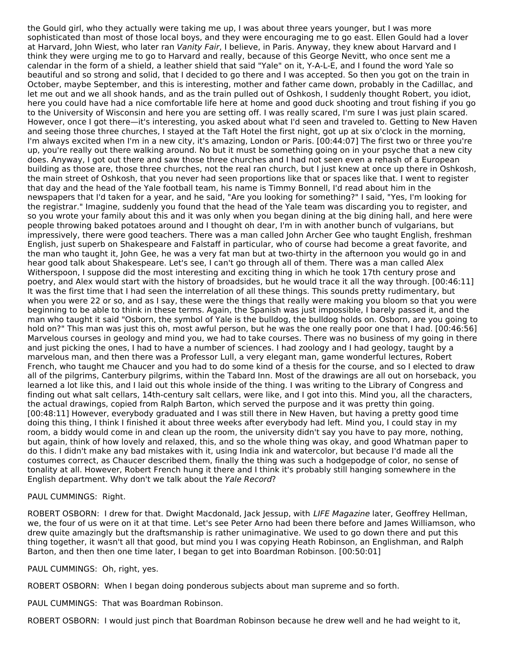the Gould girl, who they actually were taking me up, I was about three years younger, but I was more sophisticated than most of those local boys, and they were encouraging me to go east. Ellen Gould had a lover at Harvard, John Wiest, who later ran Vanity Fair, I believe, in Paris. Anyway, they knew about Harvard and I think they were urging me to go to Harvard and really, because of this George Nevitt, who once sent me a calendar in the form of a shield, a leather shield that said "Yale" on it, Y-A-L-E, and I found the word Yale so beautiful and so strong and solid, that I decided to go there and I was accepted. So then you got on the train in October, maybe September, and this is interesting, mother and father came down, probably in the Cadillac, and let me out and we all shook hands, and as the train pulled out of Oshkosh, I suddenly thought Robert, you idiot, here you could have had a nice comfortable life here at home and good duck shooting and trout fishing if you go to the University of Wisconsin and here you are setting off. I was really scared, I'm sure I was just plain scared. However, once I got there—it's interesting, you asked about what I'd seen and traveled to. Getting to New Haven and seeing those three churches, I stayed at the Taft Hotel the first night, got up at six o'clock in the morning, I'm always excited when I'm in a new city, it's amazing, London or Paris. [00:44:07] The first two or three you're up, you're really out there walking around. No but it must be something going on in your psyche that a new city does. Anyway, I got out there and saw those three churches and I had not seen even a rehash of a European building as those are, those three churches, not the real ran church, but I just knew at once up there in Oshkosh, the main street of Oshkosh, that you never had seen proportions like that or spaces like that. I went to register that day and the head of the Yale football team, his name is Timmy Bonnell, I'd read about him in the newspapers that I'd taken for a year, and he said, "Are you looking for something?" I said, "Yes, I'm looking for the registrar." Imagine, suddenly you found that the head of the Yale team was discarding you to register, and so you wrote your family about this and it was only when you began dining at the big dining hall, and here were people throwing baked potatoes around and I thought oh dear, I'm in with another bunch of vulgarians, but impressively, there were good teachers. There was a man called John Archer Gee who taught English, freshman English, just superb on Shakespeare and Falstaff in particular, who of course had become a great favorite, and the man who taught it, John Gee, he was a very fat man but at two-thirty in the afternoon you would go in and hear good talk about Shakespeare. Let's see, I can't go through all of them. There was a man called Alex Witherspoon, I suppose did the most interesting and exciting thing in which he took 17th century prose and poetry, and Alex would start with the history of broadsides, but he would trace it all the way through. [00:46:11] It was the first time that I had seen the interrelation of all these things. This sounds pretty rudimentary, but when you were 22 or so, and as I say, these were the things that really were making you bloom so that you were beginning to be able to think in these terms. Again, the Spanish was just impossible, I barely passed it, and the man who taught it said "Osborn, the symbol of Yale is the bulldog, the bulldog holds on. Osborn, are you going to hold on?" This man was just this oh, most awful person, but he was the one really poor one that I had. [00:46:56] Marvelous courses in geology and mind you, we had to take courses. There was no business of my going in there and just picking the ones, I had to have a number of sciences. I had zoology and I had geology, taught by a marvelous man, and then there was a Professor Lull, a very elegant man, game wonderful lectures, Robert French, who taught me Chaucer and you had to do some kind of a thesis for the course, and so I elected to draw all of the pilgrims, Canterbury pilgrims, within the Tabard Inn. Most of the drawings are all out on horseback, you learned a lot like this, and I laid out this whole inside of the thing. I was writing to the Library of Congress and finding out what salt cellars, 14th-century salt cellars, were like, and I got into this. Mind you, all the characters, the actual drawings, copied from Ralph Barton, which served the purpose and it was pretty thin going. [00:48:11] However, everybody graduated and I was still there in New Haven, but having a pretty good time doing this thing, I think I finished it about three weeks after everybody had left. Mind you, I could stay in my room, a biddy would come in and clean up the room, the university didn't say you have to pay more, nothing, but again, think of how lovely and relaxed, this, and so the whole thing was okay, and good Whatman paper to do this. I didn't make any bad mistakes with it, using India ink and watercolor, but because I'd made all the costumes correct, as Chaucer described them, finally the thing was such a hodgepodge of color, no sense of tonality at all. However, Robert French hung it there and I think it's probably still hanging somewhere in the English department. Why don't we talk about the Yale Record?

PAUL CUMMINGS: Right.

ROBERT OSBORN: I drew for that. Dwight Macdonald, Jack Jessup, with LIFE Magazine later, Geoffrey Hellman, we, the four of us were on it at that time. Let's see Peter Arno had been there before and James Williamson, who drew quite amazingly but the draftsmanship is rather unimaginative. We used to go down there and put this thing together, it wasn't all that good, but mind you I was copying Heath Robinson, an Englishman, and Ralph Barton, and then then one time later, I began to get into Boardman Robinson. [00:50:01]

PAUL CUMMINGS: Oh, right, yes.

ROBERT OSBORN: When I began doing ponderous subjects about man supreme and so forth.

PAUL CUMMINGS: That was Boardman Robinson.

ROBERT OSBORN: I would just pinch that Boardman Robinson because he drew well and he had weight to it,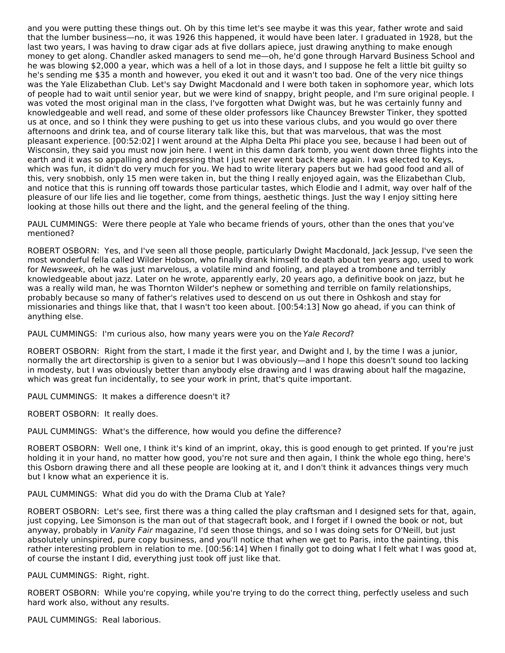and you were putting these things out. Oh by this time let's see maybe it was this year, father wrote and said that the lumber business—no, it was 1926 this happened, it would have been later. I graduated in 1928, but the last two years, I was having to draw cigar ads at five dollars apiece, just drawing anything to make enough money to get along. Chandler asked managers to send me—oh, he'd gone through Harvard Business School and he was blowing \$2,000 a year, which was a hell of a lot in those days, and I suppose he felt a little bit guilty so he's sending me \$35 a month and however, you eked it out and it wasn't too bad. One of the very nice things was the Yale Elizabethan Club. Let's say Dwight Macdonald and I were both taken in sophomore year, which lots of people had to wait until senior year, but we were kind of snappy, bright people, and I'm sure original people. I was voted the most original man in the class, I've forgotten what Dwight was, but he was certainly funny and knowledgeable and well read, and some of these older professors like Chauncey Brewster Tinker, they spotted us at once, and so I think they were pushing to get us into these various clubs, and you would go over there afternoons and drink tea, and of course literary talk like this, but that was marvelous, that was the most pleasant experience. [00:52:02] I went around at the Alpha Delta Phi place you see, because I had been out of Wisconsin, they said you must now join here. I went in this damn dark tomb, you went down three flights into the earth and it was so appalling and depressing that I just never went back there again. I was elected to Keys, which was fun, it didn't do very much for you. We had to write literary papers but we had good food and all of this, very snobbish, only 15 men were taken in, but the thing I really enjoyed again, was the Elizabethan Club, and notice that this is running off towards those particular tastes, which Elodie and I admit, way over half of the pleasure of our life lies and lie together, come from things, aesthetic things. Just the way I enjoy sitting here looking at those hills out there and the light, and the general feeling of the thing.

PAUL CUMMINGS: Were there people at Yale who became friends of yours, other than the ones that you've mentioned?

ROBERT OSBORN: Yes, and I've seen all those people, particularly Dwight Macdonald, Jack Jessup, I've seen the most wonderful fella called Wilder Hobson, who finally drank himself to death about ten years ago, used to work for Newsweek, oh he was just marvelous, a volatile mind and fooling, and played a trombone and terribly knowledgeable about jazz. Later on he wrote, apparently early, 20 years ago, a definitive book on jazz, but he was a really wild man, he was Thornton Wilder's nephew or something and terrible on family relationships, probably because so many of father's relatives used to descend on us out there in Oshkosh and stay for missionaries and things like that, that I wasn't too keen about. [00:54:13] Now go ahead, if you can think of anything else.

PAUL CUMMINGS: I'm curious also, how many years were you on the Yale Record?

ROBERT OSBORN: Right from the start, I made it the first year, and Dwight and I, by the time I was a junior, normally the art directorship is given to a senior but I was obviously—and I hope this doesn't sound too lacking in modesty, but I was obviously better than anybody else drawing and I was drawing about half the magazine, which was great fun incidentally, to see your work in print, that's quite important.

PAUL CUMMINGS: It makes a difference doesn't it?

ROBERT OSBORN: It really does.

PAUL CUMMINGS: What's the difference, how would you define the difference?

ROBERT OSBORN: Well one, I think it's kind of an imprint, okay, this is good enough to get printed. If you're just holding it in your hand, no matter how good, you're not sure and then again, I think the whole ego thing, here's this Osborn drawing there and all these people are looking at it, and I don't think it advances things very much but I know what an experience it is.

PAUL CUMMINGS: What did you do with the Drama Club at Yale?

ROBERT OSBORN: Let's see, first there was a thing called the play craftsman and I designed sets for that, again, just copying, Lee Simonson is the man out of that stagecraft book, and I forget if I owned the book or not, but anyway, probably in Vanity Fair magazine, I'd seen those things, and so I was doing sets for O'Neill, but just absolutely uninspired, pure copy business, and you'll notice that when we get to Paris, into the painting, this rather interesting problem in relation to me. [00:56:14] When I finally got to doing what I felt what I was good at, of course the instant I did, everything just took off just like that.

PAUL CUMMINGS: Right, right.

ROBERT OSBORN: While you're copying, while you're trying to do the correct thing, perfectly useless and such hard work also, without any results.

PAUL CUMMINGS: Real laborious.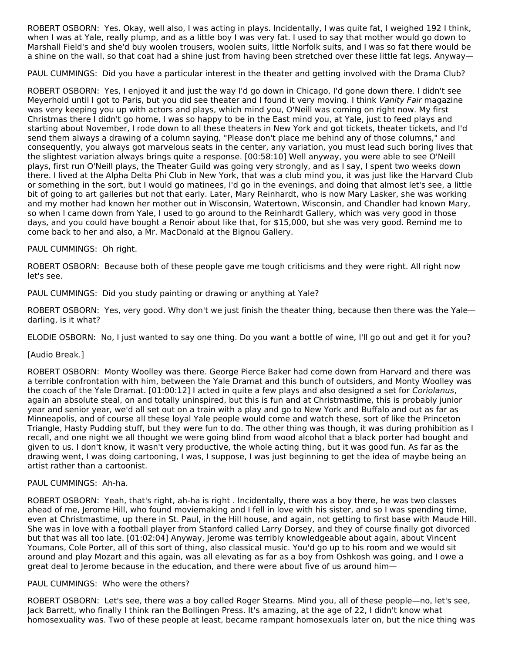ROBERT OSBORN: Yes. Okay, well also, I was acting in plays. Incidentally, I was quite fat, I weighed 192 I think, when I was at Yale, really plump, and as a little boy I was very fat. I used to say that mother would go down to Marshall Field's and she'd buy woolen trousers, woolen suits, little Norfolk suits, and I was so fat there would be a shine on the wall, so that coat had a shine just from having been stretched over these little fat legs. Anyway—

PAUL CUMMINGS: Did you have a particular interest in the theater and getting involved with the Drama Club?

ROBERT OSBORN: Yes, I enjoyed it and just the way I'd go down in Chicago, I'd gone down there. I didn't see Meyerhold until I got to Paris, but you did see theater and I found it very moving. I think Vanity Fair magazine was very keeping you up with actors and plays, which mind you, O'Neill was coming on right now. My first Christmas there I didn't go home, I was so happy to be in the East mind you, at Yale, just to feed plays and starting about November, I rode down to all these theaters in New York and got tickets, theater tickets, and I'd send them always a drawing of a column saying, "Please don't place me behind any of those columns," and consequently, you always got marvelous seats in the center, any variation, you must lead such boring lives that the slightest variation always brings quite a response. [00:58:10] Well anyway, you were able to see O'Neill plays, first run O'Neill plays, the Theater Guild was going very strongly, and as I say, I spent two weeks down there. I lived at the Alpha Delta Phi Club in New York, that was a club mind you, it was just like the Harvard Club or something in the sort, but I would go matinees, I'd go in the evenings, and doing that almost let's see, a little bit of going to art galleries but not that early. Later, Mary Reinhardt, who is now Mary Lasker, she was working and my mother had known her mother out in Wisconsin, Watertown, Wisconsin, and Chandler had known Mary, so when I came down from Yale, I used to go around to the Reinhardt Gallery, which was very good in those days, and you could have bought a Renoir about like that, for \$15,000, but she was very good. Remind me to come back to her and also, a Mr. MacDonald at the Bignou Gallery.

## PAUL CUMMINGS: Oh right.

ROBERT OSBORN: Because both of these people gave me tough criticisms and they were right. All right now let's see.

PAUL CUMMINGS: Did you study painting or drawing or anything at Yale?

ROBERT OSBORN: Yes, very good. Why don't we just finish the theater thing, because then there was the Yale darling, is it what?

ELODIE OSBORN: No, I just wanted to say one thing. Do you want a bottle of wine, I'll go out and get it for you?

## [Audio Break.]

ROBERT OSBORN: Monty Woolley was there. George Pierce Baker had come down from Harvard and there was a terrible confrontation with him, between the Yale Dramat and this bunch of outsiders, and Monty Woolley was the coach of the Yale Dramat. [01:00:12] I acted in quite a few plays and also designed a set for Coriolanus, again an absolute steal, on and totally uninspired, but this is fun and at Christmastime, this is probably junior year and senior year, we'd all set out on a train with a play and go to New York and Buffalo and out as far as Minneapolis, and of course all these loyal Yale people would come and watch these, sort of like the Princeton Triangle, Hasty Pudding stuff, but they were fun to do. The other thing was though, it was during prohibition as I recall, and one night we all thought we were going blind from wood alcohol that a black porter had bought and given to us. I don't know, it wasn't very productive, the whole acting thing, but it was good fun. As far as the drawing went, I was doing cartooning, I was, I suppose, I was just beginning to get the idea of maybe being an artist rather than a cartoonist.

#### PAUL CUMMINGS: Ah-ha.

ROBERT OSBORN: Yeah, that's right, ah-ha is right . Incidentally, there was a boy there, he was two classes ahead of me, Jerome Hill, who found moviemaking and I fell in love with his sister, and so I was spending time, even at Christmastime, up there in St. Paul, in the Hill house, and again, not getting to first base with Maude Hill. She was in love with a football player from Stanford called Larry Dorsey, and they of course finally got divorced but that was all too late. [01:02:04] Anyway, Jerome was terribly knowledgeable about again, about Vincent Youmans, Cole Porter, all of this sort of thing, also classical music. You'd go up to his room and we would sit around and play Mozart and this again, was all elevating as far as a boy from Oshkosh was going, and I owe a great deal to Jerome because in the education, and there were about five of us around him—

#### PAUL CUMMINGS: Who were the others?

ROBERT OSBORN: Let's see, there was a boy called Roger Stearns. Mind you, all of these people—no, let's see, Jack Barrett, who finally I think ran the Bollingen Press. It's amazing, at the age of 22, I didn't know what homosexuality was. Two of these people at least, became rampant homosexuals later on, but the nice thing was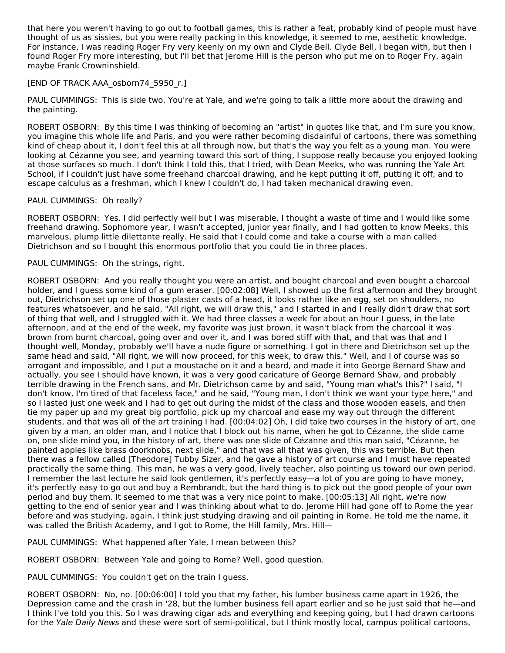that here you weren't having to go out to football games, this is rather a feat, probably kind of people must have thought of us as sissies, but you were really packing in this knowledge, it seemed to me, aesthetic knowledge. For instance, I was reading Roger Fry very keenly on my own and Clyde Bell. Clyde Bell, I began with, but then I found Roger Fry more interesting, but I'll bet that Jerome Hill is the person who put me on to Roger Fry, again maybe Frank Crowninshield.

#### [END OF TRACK AAA\_osborn74\_5950\_r.]

PAUL CUMMINGS: This is side two. You're at Yale, and we're going to talk a little more about the drawing and the painting.

ROBERT OSBORN: By this time I was thinking of becoming an "artist" in quotes like that, and I'm sure you know, you imagine this whole life and Paris, and you were rather becoming disdainful of cartoons, there was something kind of cheap about it, I don't feel this at all through now, but that's the way you felt as a young man. You were looking at Cézanne you see, and yearning toward this sort of thing, I suppose really because you enjoyed looking at those surfaces so much. I don't think I told this, that I tried, with Dean Meeks, who was running the Yale Art School, if I couldn't just have some freehand charcoal drawing, and he kept putting it off, putting it off, and to escape calculus as a freshman, which I knew I couldn't do, I had taken mechanical drawing even.

#### PAUL CUMMINGS: Oh really?

ROBERT OSBORN: Yes. I did perfectly well but I was miserable, I thought a waste of time and I would like some freehand drawing. Sophomore year, I wasn't accepted, junior year finally, and I had gotten to know Meeks, this marvelous, plump little dilettante really. He said that I could come and take a course with a man called Dietrichson and so I bought this enormous portfolio that you could tie in three places.

## PAUL CUMMINGS: Oh the strings, right.

ROBERT OSBORN: And you really thought you were an artist, and bought charcoal and even bought a charcoal holder, and I guess some kind of a gum eraser. [00:02:08] Well, I showed up the first afternoon and they brought out, Dietrichson set up one of those plaster casts of a head, it looks rather like an egg, set on shoulders, no features whatsoever, and he said, "All right, we will draw this," and I started in and I really didn't draw that sort of thing that well, and I struggled with it. We had three classes a week for about an hour I guess, in the late afternoon, and at the end of the week, my favorite was just brown, it wasn't black from the charcoal it was brown from burnt charcoal, going over and over it, and I was bored stiff with that, and that was that and I thought well, Monday, probably we'll have a nude figure or something. I got in there and Dietrichson set up the same head and said, "All right, we will now proceed, for this week, to draw this." Well, and I of course was so arrogant and impossible, and I put a moustache on it and a beard, and made it into George Bernard Shaw and actually, you see I should have known, it was a very good caricature of George Bernard Shaw, and probably terrible drawing in the French sans, and Mr. Dietrichson came by and said, "Young man what's this?" I said, "I don't know, I'm tired of that faceless face," and he said, "Young man, I don't think we want your type here," and so I lasted just one week and I had to get out during the midst of the class and those wooden easels, and then tie my paper up and my great big portfolio, pick up my charcoal and ease my way out through the different students, and that was all of the art training I had. [00:04:02] Oh, I did take two courses in the history of art, one given by a man, an older man, and I notice that I block out his name, when he got to Cézanne, the slide came on, one slide mind you, in the history of art, there was one slide of Cézanne and this man said, "Cézanne, he painted apples like brass doorknobs, next slide," and that was all that was given, this was terrible. But then there was a fellow called [Theodore] Tubby Sizer, and he gave a history of art course and I must have repeated practically the same thing. This man, he was a very good, lively teacher, also pointing us toward our own period. I remember the last lecture he said look gentlemen, it's perfectly easy—a lot of you are going to have money, it's perfectly easy to go out and buy a Rembrandt, but the hard thing is to pick out the good people of your own period and buy them. It seemed to me that was a very nice point to make. [00:05:13] All right, we're now getting to the end of senior year and I was thinking about what to do. Jerome Hill had gone off to Rome the year before and was studying, again, I think just studying drawing and oil painting in Rome. He told me the name, it was called the British Academy, and I got to Rome, the Hill family, Mrs. Hill-

PAUL CUMMINGS: What happened after Yale, I mean between this?

ROBERT OSBORN: Between Yale and going to Rome? Well, good question.

PAUL CUMMINGS: You couldn't get on the train I guess.

ROBERT OSBORN: No, no. [00:06:00] I told you that my father, his lumber business came apart in 1926, the Depression came and the crash in '28, but the lumber business fell apart earlier and so he just said that he—and I think I've told you this. So I was drawing cigar ads and everything and keeping going, but I had drawn cartoons for the Yale Daily News and these were sort of semi-political, but I think mostly local, campus political cartoons,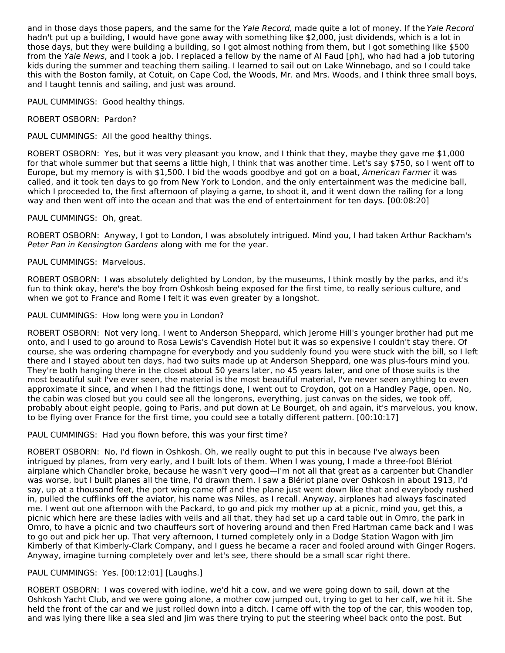and in those days those papers, and the same for the Yale Record, made quite a lot of money. If the Yale Record hadn't put up a building, I would have gone away with something like \$2,000, just dividends, which is a lot in those days, but they were building a building, so I got almost nothing from them, but I got something like \$500 from the Yale News, and I took a job. I replaced a fellow by the name of Al Faud [ph], who had had a job tutoring kids during the summer and teaching them sailing. I learned to sail out on Lake Winnebago, and so I could take this with the Boston family, at Cotuit, on Cape Cod, the Woods, Mr. and Mrs. Woods, and I think three small boys, and I taught tennis and sailing, and just was around.

PAUL CUMMINGS: Good healthy things.

ROBERT OSBORN: Pardon?

## PAUL CUMMINGS: All the good healthy things.

ROBERT OSBORN: Yes, but it was very pleasant you know, and I think that they, maybe they gave me \$1,000 for that whole summer but that seems a little high, I think that was another time. Let's say \$750, so I went off to Europe, but my memory is with \$1,500. I bid the woods goodbye and got on a boat, American Farmer it was called, and it took ten days to go from New York to London, and the only entertainment was the medicine ball, which I proceeded to, the first afternoon of playing a game, to shoot it, and it went down the railing for a long way and then went off into the ocean and that was the end of entertainment for ten days. [00:08:20]

## PAUL CUMMINGS: Oh, great.

ROBERT OSBORN: Anyway, I got to London, I was absolutely intrigued. Mind you, I had taken Arthur Rackham's Peter Pan in Kensington Gardens along with me for the year.

## PAUL CUMMINGS: Marvelous.

ROBERT OSBORN: I was absolutely delighted by London, by the museums, I think mostly by the parks, and it's fun to think okay, here's the boy from Oshkosh being exposed for the first time, to really serious culture, and when we got to France and Rome I felt it was even greater by a longshot.

## PAUL CUMMINGS: How long were you in London?

ROBERT OSBORN: Not very long. I went to Anderson Sheppard, which Jerome Hill's younger brother had put me onto, and I used to go around to Rosa Lewis's Cavendish Hotel but it was so expensive I couldn't stay there. Of course, she was ordering champagne for everybody and you suddenly found you were stuck with the bill, so I left there and I stayed about ten days, had two suits made up at Anderson Sheppard, one was plus-fours mind you. They're both hanging there in the closet about 50 years later, no 45 years later, and one of those suits is the most beautiful suit I've ever seen, the material is the most beautiful material, I've never seen anything to even approximate it since, and when I had the fittings done, I went out to Croydon, got on a Handley Page, open. No, the cabin was closed but you could see all the longerons, everything, just canvas on the sides, we took off, probably about eight people, going to Paris, and put down at Le Bourget, oh and again, it's marvelous, you know, to be flying over France for the first time, you could see a totally different pattern. [00:10:17]

## PAUL CUMMINGS: Had you flown before, this was your first time?

ROBERT OSBORN: No, I'd flown in Oshkosh. Oh, we really ought to put this in because I've always been intrigued by planes, from very early, and I built lots of them. When I was young, I made a three-foot Blériot airplane which Chandler broke, because he wasn't very good—I'm not all that great as a carpenter but Chandler was worse, but I built planes all the time, I'd drawn them. I saw a Blériot plane over Oshkosh in about 1913, I'd say, up at a thousand feet, the port wing came off and the plane just went down like that and everybody rushed in, pulled the cufflinks off the aviator, his name was Niles, as I recall. Anyway, airplanes had always fascinated me. I went out one afternoon with the Packard, to go and pick my mother up at a picnic, mind you, get this, a picnic which here are these ladies with veils and all that, they had set up a card table out in Omro, the park in Omro, to have a picnic and two chauffeurs sort of hovering around and then Fred Hartman came back and I was to go out and pick her up. That very afternoon, I turned completely only in a Dodge Station Wagon with Jim Kimberly of that Kimberly-Clark Company, and I guess he became a racer and fooled around with Ginger Rogers. Anyway, imagine turning completely over and let's see, there should be a small scar right there.

## PAUL CUMMINGS: Yes. [00:12:01] [Laughs.]

ROBERT OSBORN: I was covered with iodine, we'd hit a cow, and we were going down to sail, down at the Oshkosh Yacht Club, and we were going alone, a mother cow jumped out, trying to get to her calf, we hit it. She held the front of the car and we just rolled down into a ditch. I came off with the top of the car, this wooden top, and was lying there like a sea sled and Jim was there trying to put the steering wheel back onto the post. But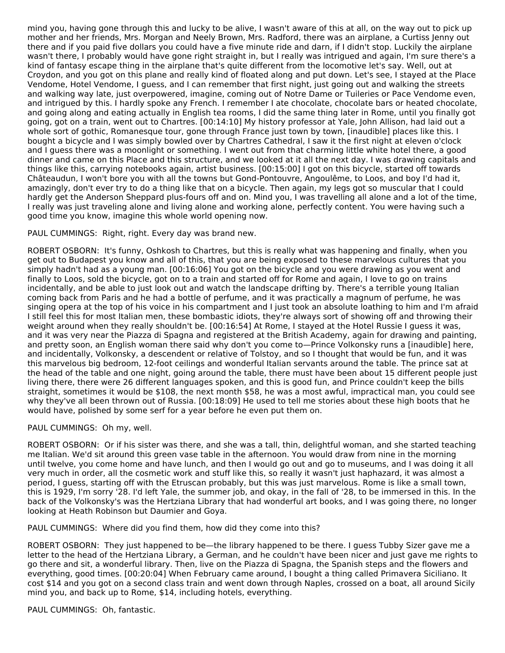mind you, having gone through this and lucky to be alive, I wasn't aware of this at all, on the way out to pick up mother and her friends, Mrs. Morgan and Neely Brown, Mrs. Radford, there was an airplane, a Curtiss Jenny out there and if you paid five dollars you could have a five minute ride and darn, if I didn't stop. Luckily the airplane wasn't there, I probably would have gone right straight in, but I really was intrigued and again, I'm sure there's a kind of fantasy escape thing in the airplane that's quite different from the locomotive let's say. Well, out at Croydon, and you got on this plane and really kind of floated along and put down. Let's see, I stayed at the Place Vendome, Hotel Vendome, I guess, and I can remember that first night, just going out and walking the streets and walking way late, just overpowered, imagine, coming out of Notre Dame or Tuileries or Pace Vendome even, and intrigued by this. I hardly spoke any French. I remember I ate chocolate, chocolate bars or heated chocolate, and going along and eating actually in English tea rooms, I did the same thing later in Rome, until you finally got going, got on a train, went out to Chartres. [00:14:10] My history professor at Yale, John Allison, had laid out a whole sort of gothic, Romanesque tour, gone through France just town by town, [inaudible] places like this. I bought a bicycle and I was simply bowled over by Chartres Cathedral, I saw it the first night at eleven o'clock and I guess there was a moonlight or something. I went out from that charming little white hotel there, a good dinner and came on this Place and this structure, and we looked at it all the next day. I was drawing capitals and things like this, carrying notebooks again, artist business. [00:15:00] I got on this bicycle, started off towards Châteaudun, I won't bore you with all the towns but Gond-Pontouvre, Angoulême, to Loos, and boy I'd had it, amazingly, don't ever try to do a thing like that on a bicycle. Then again, my legs got so muscular that I could hardly get the Anderson Sheppard plus-fours off and on. Mind you, I was travelling all alone and a lot of the time, I really was just traveling alone and living alone and working alone, perfectly content. You were having such a good time you know, imagine this whole world opening now.

## PAUL CUMMINGS: Right, right. Every day was brand new.

ROBERT OSBORN: It's funny, Oshkosh to Chartres, but this is really what was happening and finally, when you get out to Budapest you know and all of this, that you are being exposed to these marvelous cultures that you simply hadn't had as a young man. [00:16:06] You got on the bicycle and you were drawing as you went and finally to Loos, sold the bicycle, got on to a train and started off for Rome and again, I love to go on trains incidentally, and be able to just look out and watch the landscape drifting by. There's a terrible young Italian coming back from Paris and he had a bottle of perfume, and it was practically a magnum of perfume, he was singing opera at the top of his voice in his compartment and I just took an absolute loathing to him and I'm afraid I still feel this for most Italian men, these bombastic idiots, they're always sort of showing off and throwing their weight around when they really shouldn't be. [00:16:54] At Rome, I stayed at the Hotel Russie I guess it was, and it was very near the Piazza di Spagna and registered at the British Academy, again for drawing and painting, and pretty soon, an English woman there said why don't you come to—Prince Volkonsky runs a [inaudible] here, and incidentally, Volkonsky, a descendent or relative of Tolstoy, and so I thought that would be fun, and it was this marvelous big bedroom, 12-foot ceilings and wonderful Italian servants around the table. The prince sat at the head of the table and one night, going around the table, there must have been about 15 different people just living there, there were 26 different languages spoken, and this is good fun, and Prince couldn't keep the bills straight, sometimes it would be \$108, the next month \$58, he was a most awful, impractical man, you could see why they've all been thrown out of Russia. [00:18:09] He used to tell me stories about these high boots that he would have, polished by some serf for a year before he even put them on.

#### PAUL CUMMINGS: Oh my, well.

ROBERT OSBORN: Or if his sister was there, and she was a tall, thin, delightful woman, and she started teaching me Italian. We'd sit around this green vase table in the afternoon. You would draw from nine in the morning until twelve, you come home and have lunch, and then I would go out and go to museums, and I was doing it all very much in order, all the cosmetic work and stuff like this, so really it wasn't just haphazard, it was almost a period, I guess, starting off with the Etruscan probably, but this was just marvelous. Rome is like a small town, this is 1929, I'm sorry '28. I'd left Yale, the summer job, and okay, in the fall of '28, to be immersed in this. In the back of the Volkonsky's was the Hertziana Library that had wonderful art books, and I was going there, no longer looking at Heath Robinson but Daumier and Goya.

PAUL CUMMINGS: Where did you find them, how did they come into this?

ROBERT OSBORN: They just happened to be—the library happened to be there. I guess Tubby Sizer gave me a letter to the head of the Hertziana Library, a German, and he couldn't have been nicer and just gave me rights to go there and sit, a wonderful library. Then, live on the Piazza di Spagna, the Spanish steps and the flowers and everything, good times. [00:20:04] When February came around, I bought a thing called Primavera Siciliano. It cost \$14 and you got on a second class train and went down through Naples, crossed on a boat, all around Sicily mind you, and back up to Rome, \$14, including hotels, everything.

PAUL CUMMINGS: Oh, fantastic.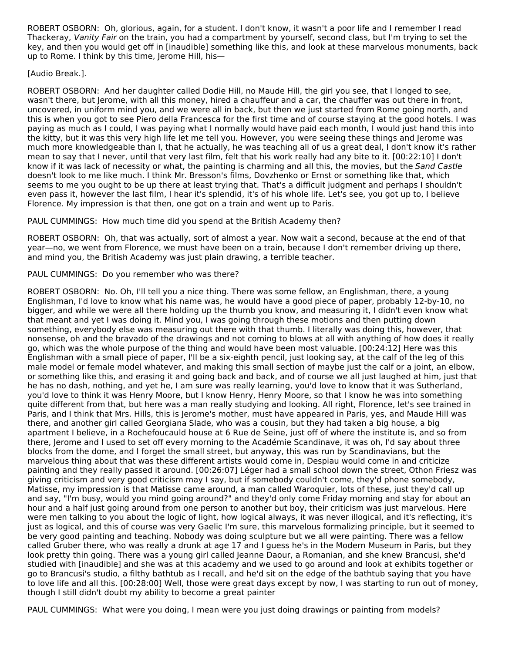ROBERT OSBORN: Oh, glorious, again, for a student. I don't know, it wasn't a poor life and I remember I read Thackeray, Vanity Fair on the train, you had a compartment by yourself, second class, but I'm trying to set the key, and then you would get off in [inaudible] something like this, and look at these marvelous monuments, back up to Rome. I think by this time, Jerome Hill, his—

[Audio Break.].

ROBERT OSBORN: And her daughter called Dodie Hill, no Maude Hill, the girl you see, that I longed to see, wasn't there, but Jerome, with all this money, hired a chauffeur and a car, the chauffer was out there in front, uncovered, in uniform mind you, and we were all in back, but then we just started from Rome going north, and this is when you got to see Piero della Francesca for the first time and of course staying at the good hotels. I was paying as much as I could, I was paying what I normally would have paid each month, I would just hand this into the kitty, but it was this very high life let me tell you. However, you were seeing these things and Jerome was much more knowledgeable than I, that he actually, he was teaching all of us a great deal, I don't know it's rather mean to say that I never, until that very last film, felt that his work really had any bite to it. [00:22:10] I don't know if it was lack of necessity or what, the painting is charming and all this, the movies, but the Sand Castle doesn't look to me like much. I think Mr. Bresson's films, Dovzhenko or Ernst or something like that, which seems to me you ought to be up there at least trying that. That's a difficult judgment and perhaps I shouldn't even pass it, however the last film, I hear it's splendid, it's of his whole life. Let's see, you got up to, I believe Florence. My impression is that then, one got on a train and went up to Paris.

PAUL CUMMINGS: How much time did you spend at the British Academy then?

ROBERT OSBORN: Oh, that was actually, sort of almost a year. Now wait a second, because at the end of that year—no, we went from Florence, we must have been on a train, because I don't remember driving up there, and mind you, the British Academy was just plain drawing, a terrible teacher.

## PAUL CUMMINGS: Do you remember who was there?

ROBERT OSBORN: No. Oh, I'll tell you a nice thing. There was some fellow, an Englishman, there, a young Englishman, I'd love to know what his name was, he would have a good piece of paper, probably 12-by-10, no bigger, and while we were all there holding up the thumb you know, and measuring it, I didn't even know what that meant and yet I was doing it. Mind you, I was going through these motions and then putting down something, everybody else was measuring out there with that thumb. I literally was doing this, however, that nonsense, oh and the bravado of the drawings and not coming to blows at all with anything of how does it really go, which was the whole purpose of the thing and would have been most valuable. [00:24:12] Here was this Englishman with a small piece of paper, I'll be a six-eighth pencil, just looking say, at the calf of the leg of this male model or female model whatever, and making this small section of maybe just the calf or a joint, an elbow, or something like this, and erasing it and going back and back, and of course we all just laughed at him, just that he has no dash, nothing, and yet he, I am sure was really learning, you'd love to know that it was Sutherland, you'd love to think it was Henry Moore, but I know Henry, Henry Moore, so that I know he was into something quite different from that, but here was a man really studying and looking. All right, Florence, let's see trained in Paris, and I think that Mrs. Hills, this is Jerome's mother, must have appeared in Paris, yes, and Maude Hill was there, and another girl called Georgiana Slade, who was a cousin, but they had taken a big house, a big apartment I believe, in a Rochefoucauld house at 6 Rue de Seine, just off of where the institute is, and so from there, Jerome and I used to set off every morning to the Académie Scandinave, it was oh, I'd say about three blocks from the dome, and I forget the small street, but anyway, this was run by Scandinavians, but the marvelous thing about that was these different artists would come in, Despiau would come in and criticize painting and they really passed it around. [00:26:07] Léger had a small school down the street, Othon Friesz was giving criticism and very good criticism may I say, but if somebody couldn't come, they'd phone somebody, Matisse, my impression is that Matisse came around, a man called Waroquier, lots of these, just they'd call up and say, "I'm busy, would you mind going around?" and they'd only come Friday morning and stay for about an hour and a half just going around from one person to another but boy, their criticism was just marvelous. Here were men talking to you about the logic of light, how logical always, it was never illogical, and it's reflecting, it's just as logical, and this of course was very Gaelic I'm sure, this marvelous formalizing principle, but it seemed to be very good painting and teaching. Nobody was doing sculpture but we all were painting. There was a fellow called Gruber there, who was really a drunk at age 17 and I guess he's in the Modern Museum in Paris, but they look pretty thin going. There was a young girl called Jeanne Daour, a Romanian, and she knew Brancusi, she'd studied with [inaudible] and she was at this academy and we used to go around and look at exhibits together or go to Brancusi's studio, a filthy bathtub as I recall, and he'd sit on the edge of the bathtub saying that you have to love life and all this. [00:28:00] Well, those were great days except by now, I was starting to run out of money, though I still didn't doubt my ability to become a great painter

PAUL CUMMINGS: What were you doing, I mean were you just doing drawings or painting from models?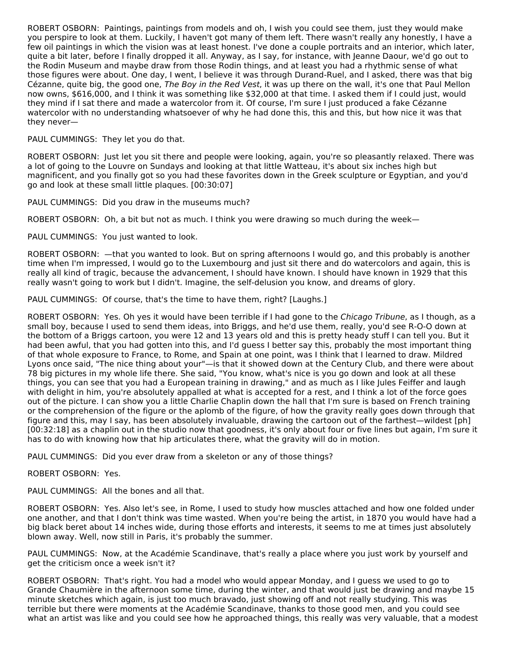ROBERT OSBORN: Paintings, paintings from models and oh, I wish you could see them, just they would make you perspire to look at them. Luckily, I haven't got many of them left. There wasn't really any honestly, I have a few oil paintings in which the vision was at least honest. I've done a couple portraits and an interior, which later, quite a bit later, before I finally dropped it all. Anyway, as I say, for instance, with Jeanne Daour, we'd go out to the Rodin Museum and maybe draw from those Rodin things, and at least you had a rhythmic sense of what those figures were about. One day, I went, I believe it was through Durand-Ruel, and I asked, there was that big Cézanne, quite big, the good one, The Boy in the Red Vest, it was up there on the wall, it's one that Paul Mellon now owns, \$616,000, and I think it was something like \$32,000 at that time. I asked them if I could just, would they mind if I sat there and made a watercolor from it. Of course, I'm sure I just produced a fake Cézanne watercolor with no understanding whatsoever of why he had done this, this and this, but how nice it was that they never—

#### PAUL CUMMINGS: They let you do that.

ROBERT OSBORN: Just let you sit there and people were looking, again, you're so pleasantly relaxed. There was a lot of going to the Louvre on Sundays and looking at that little Watteau, it's about six inches high but magnificent, and you finally got so you had these favorites down in the Greek sculpture or Egyptian, and you'd go and look at these small little plaques. [00:30:07]

PAUL CUMMINGS: Did you draw in the museums much?

ROBERT OSBORN: Oh, a bit but not as much. I think you were drawing so much during the week—

PAUL CUMMINGS: You just wanted to look.

ROBERT OSBORN: —that you wanted to look. But on spring afternoons I would go, and this probably is another time when I'm impressed, I would go to the Luxembourg and just sit there and do watercolors and again, this is really all kind of tragic, because the advancement, I should have known. I should have known in 1929 that this really wasn't going to work but I didn't. Imagine, the self-delusion you know, and dreams of glory.

PAUL CUMMINGS: Of course, that's the time to have them, right? [Laughs.]

ROBERT OSBORN: Yes. Oh yes it would have been terrible if I had gone to the Chicago Tribune, as I though, as a small boy, because I used to send them ideas, into Briggs, and he'd use them, really, you'd see R-O-O down at the bottom of a Briggs cartoon, you were 12 and 13 years old and this is pretty heady stuff I can tell you. But it had been awful, that you had gotten into this, and I'd guess I better say this, probably the most important thing of that whole exposure to France, to Rome, and Spain at one point, was I think that I learned to draw. Mildred Lyons once said, "The nice thing about your"—is that it showed down at the Century Club, and there were about 78 big pictures in my whole life there. She said, "You know, what's nice is you go down and look at all these things, you can see that you had a European training in drawing," and as much as I like Jules Feiffer and laugh with delight in him, you're absolutely appalled at what is accepted for a rest, and I think a lot of the force goes out of the picture. I can show you a little Charlie Chaplin down the hall that I'm sure is based on French training or the comprehension of the figure or the aplomb of the figure, of how the gravity really goes down through that figure and this, may I say, has been absolutely invaluable, drawing the cartoon out of the farthest—wildest [ph] [00:32:18] as a chaplin out in the studio now that goodness, it's only about four or five lines but again, I'm sure it has to do with knowing how that hip articulates there, what the gravity will do in motion.

PAUL CUMMINGS: Did you ever draw from a skeleton or any of those things?

## ROBERT OSBORN: Yes.

PAUL CUMMINGS: All the bones and all that.

ROBERT OSBORN: Yes. Also let's see, in Rome, I used to study how muscles attached and how one folded under one another, and that I don't think was time wasted. When you're being the artist, in 1870 you would have had a big black beret about 14 inches wide, during those efforts and interests, it seems to me at times just absolutely blown away. Well, now still in Paris, it's probably the summer.

PAUL CUMMINGS: Now, at the Académie Scandinave, that's really a place where you just work by yourself and get the criticism once a week isn't it?

ROBERT OSBORN: That's right. You had a model who would appear Monday, and I guess we used to go to Grande Chaumière in the afternoon some time, during the winter, and that would just be drawing and maybe 15 minute sketches which again, is just too much bravado, just showing off and not really studying. This was terrible but there were moments at the Académie Scandinave, thanks to those good men, and you could see what an artist was like and you could see how he approached things, this really was very valuable, that a modest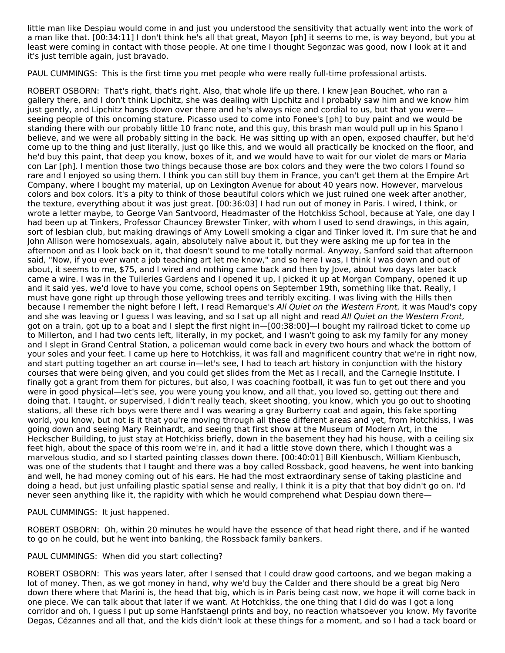little man like Despiau would come in and just you understood the sensitivity that actually went into the work of a man like that. [00:34:11] I don't think he's all that great, Mayon [ph] it seems to me, is way beyond, but you at least were coming in contact with those people. At one time I thought Segonzac was good, now I look at it and it's just terrible again, just bravado.

PAUL CUMMINGS: This is the first time you met people who were really full-time professional artists.

ROBERT OSBORN: That's right, that's right. Also, that whole life up there. I knew Jean Bouchet, who ran a gallery there, and I don't think Lipchitz, she was dealing with Lipchitz and I probably saw him and we know him just gently, and Lipchitz hangs down over there and he's always nice and cordial to us, but that you were seeing people of this oncoming stature. Picasso used to come into Fonee's [ph] to buy paint and we would be standing there with our probably little 10 franc note, and this guy, this brash man would pull up in his Spano I believe, and we were all probably sitting in the back. He was sitting up with an open, exposed chauffer, but he'd come up to the thing and just literally, just go like this, and we would all practically be knocked on the floor, and he'd buy this paint, that deep you know, boxes of it, and we would have to wait for our violet de mars or Maria con Lar [ph]. I mention those two things because those are box colors and they were the two colors I found so rare and I enjoyed so using them. I think you can still buy them in France, you can't get them at the Empire Art Company, where I bought my material, up on Lexington Avenue for about 40 years now. However, marvelous colors and box colors. It's a pity to think of those beautiful colors which we just ruined one week after another, the texture, everything about it was just great. [00:36:03] I had run out of money in Paris. I wired, I think, or wrote a letter maybe, to George Van Santvoord, Headmaster of the Hotchkiss School, because at Yale, one day I had been up at Tinkers, Professor Chauncey Brewster Tinker, with whom I used to send drawings, in this again, sort of lesbian club, but making drawings of Amy Lowell smoking a cigar and Tinker loved it. I'm sure that he and John Allison were homosexuals, again, absolutely naïve about it, but they were asking me up for tea in the afternoon and as I look back on it, that doesn't sound to me totally normal. Anyway, Sanford said that afternoon said, "Now, if you ever want a job teaching art let me know," and so here I was, I think I was down and out of about, it seems to me, \$75, and I wired and nothing came back and then by Jove, about two days later back came a wire. I was in the Tuileries Gardens and I opened it up, I picked it up at Morgan Company, opened it up and it said yes, we'd love to have you come, school opens on September 19th, something like that. Really, I must have gone right up through those yellowing trees and terribly exciting. I was living with the Hills then because I remember the night before I left, I read Remarque's All Quiet on the Western Front, it was Maud's copy and she was leaving or I guess I was leaving, and so I sat up all night and read All Quiet on the Western Front, got on a train, got up to a boat and I slept the first night in—[00:38:00]—I bought my railroad ticket to come up to Millerton, and I had two cents left, literally, in my pocket, and I wasn't going to ask my family for any money and I slept in Grand Central Station, a policeman would come back in every two hours and whack the bottom of your soles and your feet. I came up here to Hotchkiss, it was fall and magnificent country that we're in right now, and start putting together an art course in—let's see, I had to teach art history in conjunction with the history courses that were being given, and you could get slides from the Met as I recall, and the Carnegie Institute. I finally got a grant from them for pictures, but also, I was coaching football, it was fun to get out there and you were in good physical—let's see, you were young you know, and all that, you loved so, getting out there and doing that. I taught, or supervised, I didn't really teach, skeet shooting, you know, which you go out to shooting stations, all these rich boys were there and I was wearing a gray Burberry coat and again, this fake sporting world, you know, but not is it that you're moving through all these different areas and yet, from Hotchkiss, I was going down and seeing Mary Reinhardt, and seeing that first show at the Museum of Modern Art, in the Heckscher Building, to just stay at Hotchkiss briefly, down in the basement they had his house, with a ceiling six feet high, about the space of this room we're in, and it had a little stove down there, which I thought was a marvelous studio, and so I started painting classes down there. [00:40:01] Bill Kienbusch, William Kienbusch, was one of the students that I taught and there was a boy called Rossback, good heavens, he went into banking and well, he had money coming out of his ears. He had the most extraordinary sense of taking plasticine and doing a head, but just unfailing plastic spatial sense and really, I think it is a pity that that boy didn't go on. I'd never seen anything like it, the rapidity with which he would comprehend what Despiau down there—

PAUL CUMMINGS: It just happened.

ROBERT OSBORN: Oh, within 20 minutes he would have the essence of that head right there, and if he wanted to go on he could, but he went into banking, the Rossback family bankers.

#### PAUL CUMMINGS: When did you start collecting?

ROBERT OSBORN: This was years later, after I sensed that I could draw good cartoons, and we began making a lot of money. Then, as we got money in hand, why we'd buy the Calder and there should be a great big Nero down there where that Marini is, the head that big, which is in Paris being cast now, we hope it will come back in one piece. We can talk about that later if we want. At Hotchkiss, the one thing that I did do was I got a long corridor and oh, I guess I put up some Hanfstaengl prints and boy, no reaction whatsoever you know. My favorite Degas, Cézannes and all that, and the kids didn't look at these things for a moment, and so I had a tack board or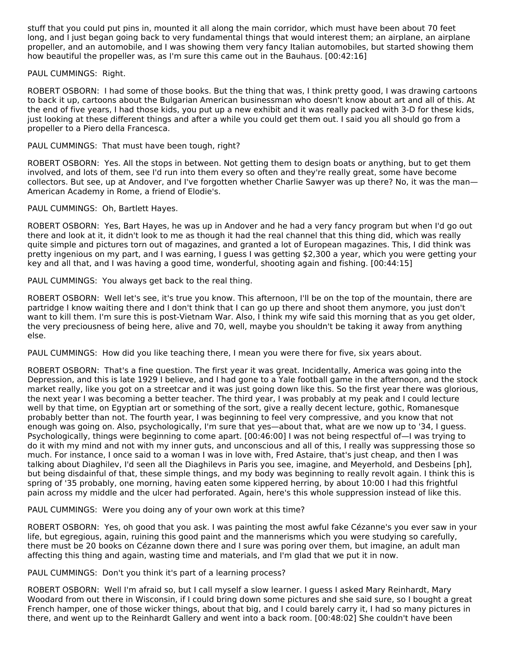stuff that you could put pins in, mounted it all along the main corridor, which must have been about 70 feet long, and I just began going back to very fundamental things that would interest them; an airplane, an airplane propeller, and an automobile, and I was showing them very fancy Italian automobiles, but started showing them how beautiful the propeller was, as I'm sure this came out in the Bauhaus. [00:42:16]

## PAUL CUMMINGS: Right.

ROBERT OSBORN: I had some of those books. But the thing that was, I think pretty good, I was drawing cartoons to back it up, cartoons about the Bulgarian American businessman who doesn't know about art and all of this. At the end of five years, I had those kids, you put up a new exhibit and it was really packed with 3-D for these kids, just looking at these different things and after a while you could get them out. I said you all should go from a propeller to a Piero della Francesca.

## PAUL CUMMINGS: That must have been tough, right?

ROBERT OSBORN: Yes. All the stops in between. Not getting them to design boats or anything, but to get them involved, and lots of them, see I'd run into them every so often and they're really great, some have become collectors. But see, up at Andover, and I've forgotten whether Charlie Sawyer was up there? No, it was the man— American Academy in Rome, a friend of Elodie's.

## PAUL CUMMINGS: Oh, Bartlett Hayes.

ROBERT OSBORN: Yes, Bart Hayes, he was up in Andover and he had a very fancy program but when I'd go out there and look at it, it didn't look to me as though it had the real channel that this thing did, which was really quite simple and pictures torn out of magazines, and granted a lot of European magazines. This, I did think was pretty ingenious on my part, and I was earning, I guess I was getting \$2,300 a year, which you were getting your key and all that, and I was having a good time, wonderful, shooting again and fishing. [00:44:15]

PAUL CUMMINGS: You always get back to the real thing.

ROBERT OSBORN: Well let's see, it's true you know. This afternoon, I'll be on the top of the mountain, there are partridge I know waiting there and I don't think that I can go up there and shoot them anymore, you just don't want to kill them. I'm sure this is post-Vietnam War. Also, I think my wife said this morning that as you get older, the very preciousness of being here, alive and 70, well, maybe you shouldn't be taking it away from anything else.

PAUL CUMMINGS: How did you like teaching there, I mean you were there for five, six years about.

ROBERT OSBORN: That's a fine question. The first year it was great. Incidentally, America was going into the Depression, and this is late 1929 I believe, and I had gone to a Yale football game in the afternoon, and the stock market really, like you got on a streetcar and it was just going down like this. So the first year there was glorious, the next year I was becoming a better teacher. The third year, I was probably at my peak and I could lecture well by that time, on Egyptian art or something of the sort, give a really decent lecture, gothic, Romanesque probably better than not. The fourth year, I was beginning to feel very compressive, and you know that not enough was going on. Also, psychologically, I'm sure that yes—about that, what are we now up to '34, I guess. Psychologically, things were beginning to come apart. [00:46:00] I was not being respectful of—I was trying to do it with my mind and not with my inner guts, and unconscious and all of this, I really was suppressing those so much. For instance, I once said to a woman I was in love with, Fred Astaire, that's just cheap, and then I was talking about Diaghilev, I'd seen all the Diaghilevs in Paris you see, imagine, and Meyerhold, and Desbeins [ph], but being disdainful of that, these simple things, and my body was beginning to really revolt again. I think this is spring of '35 probably, one morning, having eaten some kippered herring, by about 10:00 I had this frightful pain across my middle and the ulcer had perforated. Again, here's this whole suppression instead of like this.

PAUL CUMMINGS: Were you doing any of your own work at this time?

ROBERT OSBORN: Yes, oh good that you ask. I was painting the most awful fake Cézanne's you ever saw in your life, but egregious, again, ruining this good paint and the mannerisms which you were studying so carefully, there must be 20 books on Cézanne down there and I sure was poring over them, but imagine, an adult man affecting this thing and again, wasting time and materials, and I'm glad that we put it in now.

PAUL CUMMINGS: Don't you think it's part of a learning process?

ROBERT OSBORN: Well I'm afraid so, but I call myself a slow learner. I guess I asked Mary Reinhardt, Mary Woodard from out there in Wisconsin, if I could bring down some pictures and she said sure, so I bought a great French hamper, one of those wicker things, about that big, and I could barely carry it, I had so many pictures in there, and went up to the Reinhardt Gallery and went into a back room. [00:48:02] She couldn't have been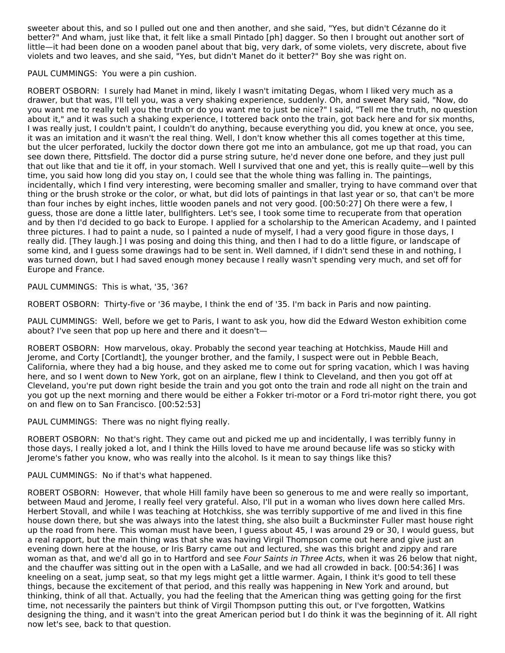sweeter about this, and so I pulled out one and then another, and she said, "Yes, but didn't Cézanne do it better?" And wham, just like that, it felt like a small Pintado [ph] dagger. So then I brought out another sort of little—it had been done on a wooden panel about that big, very dark, of some violets, very discrete, about five violets and two leaves, and she said, "Yes, but didn't Manet do it better?" Boy she was right on.

PAUL CUMMINGS: You were a pin cushion.

ROBERT OSBORN: I surely had Manet in mind, likely I wasn't imitating Degas, whom I liked very much as a drawer, but that was, I'll tell you, was a very shaking experience, suddenly. Oh, and sweet Mary said, "Now, do you want me to really tell you the truth or do you want me to just be nice?" I said, "Tell me the truth, no question about it," and it was such a shaking experience, I tottered back onto the train, got back here and for six months, I was really just, I couldn't paint, I couldn't do anything, because everything you did, you knew at once, you see, it was an imitation and it wasn't the real thing. Well, I don't know whether this all comes together at this time, but the ulcer perforated, luckily the doctor down there got me into an ambulance, got me up that road, you can see down there, Pittsfield. The doctor did a purse string suture, he'd never done one before, and they just pull that out like that and tie it off, in your stomach. Well I survived that one and yet, this is really quite—well by this time, you said how long did you stay on, I could see that the whole thing was falling in. The paintings, incidentally, which I find very interesting, were becoming smaller and smaller, trying to have command over that thing or the brush stroke or the color, or what, but did lots of paintings in that last year or so, that can't be more than four inches by eight inches, little wooden panels and not very good. [00:50:27] Oh there were a few, I guess, those are done a little later, bullfighters. Let's see, I took some time to recuperate from that operation and by then I'd decided to go back to Europe. I applied for a scholarship to the American Academy, and I painted three pictures. I had to paint a nude, so I painted a nude of myself, I had a very good figure in those days, I really did. [They laugh.] I was posing and doing this thing, and then I had to do a little figure, or landscape of some kind, and I guess some drawings had to be sent in. Well damned, if I didn't send these in and nothing, I was turned down, but I had saved enough money because I really wasn't spending very much, and set off for Europe and France.

PAUL CUMMINGS: This is what, '35, '36?

ROBERT OSBORN: Thirty-five or '36 maybe, I think the end of '35. I'm back in Paris and now painting.

PAUL CUMMINGS: Well, before we get to Paris, I want to ask you, how did the Edward Weston exhibition come about? I've seen that pop up here and there and it doesn't—

ROBERT OSBORN: How marvelous, okay. Probably the second year teaching at Hotchkiss, Maude Hill and Jerome, and Corty [Cortlandt], the younger brother, and the family, I suspect were out in Pebble Beach, California, where they had a big house, and they asked me to come out for spring vacation, which I was having here, and so I went down to New York, got on an airplane, flew I think to Cleveland, and then you got off at Cleveland, you're put down right beside the train and you got onto the train and rode all night on the train and you got up the next morning and there would be either a Fokker tri-motor or a Ford tri-motor right there, you got on and flew on to San Francisco. [00:52:53]

PAUL CUMMINGS: There was no night flying really.

ROBERT OSBORN: No that's right. They came out and picked me up and incidentally, I was terribly funny in those days, I really joked a lot, and I think the Hills loved to have me around because life was so sticky with Jerome's father you know, who was really into the alcohol. Is it mean to say things like this?

PAUL CUMMINGS: No if that's what happened.

ROBERT OSBORN: However, that whole Hill family have been so generous to me and were really so important, between Maud and Jerome, I really feel very grateful. Also, I'll put in a woman who lives down here called Mrs. Herbert Stovall, and while I was teaching at Hotchkiss, she was terribly supportive of me and lived in this fine house down there, but she was always into the latest thing, she also built a Buckminster Fuller mast house right up the road from here. This woman must have been, I guess about 45, I was around 29 or 30, I would guess, but a real rapport, but the main thing was that she was having Virgil Thompson come out here and give just an evening down here at the house, or Iris Barry came out and lectured, she was this bright and zippy and rare woman as that, and we'd all go in to Hartford and see Four Saints in Three Acts, when it was 26 below that night, and the chauffer was sitting out in the open with a LaSalle, and we had all crowded in back. [00:54:36] I was kneeling on a seat, jump seat, so that my legs might get a little warmer. Again, I think it's good to tell these things, because the excitement of that period, and this really was happening in New York and around, but thinking, think of all that. Actually, you had the feeling that the American thing was getting going for the first time, not necessarily the painters but think of Virgil Thompson putting this out, or I've forgotten, Watkins designing the thing, and it wasn't into the great American period but I do think it was the beginning of it. All right now let's see, back to that question.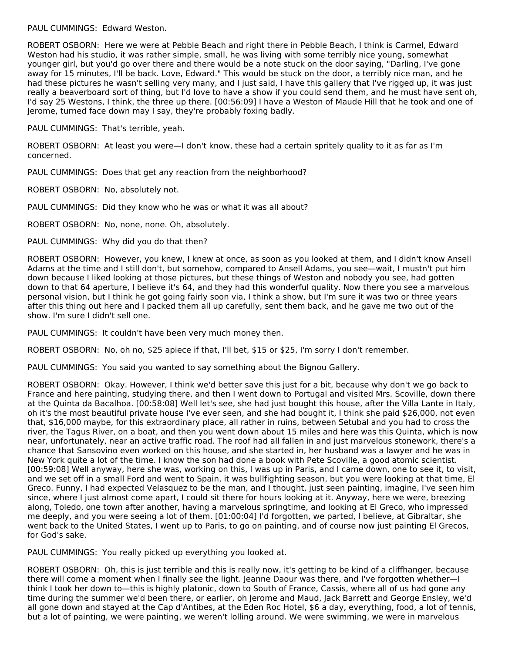PAUL CUMMINGS: Edward Weston.

ROBERT OSBORN: Here we were at Pebble Beach and right there in Pebble Beach, I think is Carmel, Edward Weston had his studio, it was rather simple, small, he was living with some terribly nice young, somewhat younger girl, but you'd go over there and there would be a note stuck on the door saying, "Darling, I've gone away for 15 minutes, I'll be back. Love, Edward." This would be stuck on the door, a terribly nice man, and he had these pictures he wasn't selling very many, and I just said, I have this gallery that I've rigged up, it was just really a beaverboard sort of thing, but I'd love to have a show if you could send them, and he must have sent oh, I'd say 25 Westons, I think, the three up there. [00:56:09] I have a Weston of Maude Hill that he took and one of Jerome, turned face down may I say, they're probably foxing badly.

PAUL CUMMINGS: That's terrible, yeah.

ROBERT OSBORN: At least you were—I don't know, these had a certain spritely quality to it as far as I'm concerned.

PAUL CUMMINGS: Does that get any reaction from the neighborhood?

ROBERT OSBORN: No, absolutely not.

PAUL CUMMINGS: Did they know who he was or what it was all about?

ROBERT OSBORN: No, none, none. Oh, absolutely.

PAUL CUMMINGS: Why did you do that then?

ROBERT OSBORN: However, you knew, I knew at once, as soon as you looked at them, and I didn't know Ansell Adams at the time and I still don't, but somehow, compared to Ansell Adams, you see—wait, I mustn't put him down because I liked looking at those pictures, but these things of Weston and nobody you see, had gotten down to that 64 aperture, I believe it's 64, and they had this wonderful quality. Now there you see a marvelous personal vision, but I think he got going fairly soon via, I think a show, but I'm sure it was two or three years after this thing out here and I packed them all up carefully, sent them back, and he gave me two out of the show. I'm sure I didn't sell one.

PAUL CUMMINGS: It couldn't have been very much money then.

ROBERT OSBORN: No, oh no, \$25 apiece if that, I'll bet, \$15 or \$25, I'm sorry I don't remember.

PAUL CUMMINGS: You said you wanted to say something about the Bignou Gallery.

ROBERT OSBORN: Okay. However, I think we'd better save this just for a bit, because why don't we go back to France and here painting, studying there, and then I went down to Portugal and visited Mrs. Scoville, down there at the Quinta da Bacalhoa. [00:58:08] Well let's see, she had just bought this house, after the Villa Lante in Italy, oh it's the most beautiful private house I've ever seen, and she had bought it, I think she paid \$26,000, not even that, \$16,000 maybe, for this extraordinary place, all rather in ruins, between Setubal and you had to cross the river, the Tagus River, on a boat, and then you went down about 15 miles and here was this Quinta, which is now near, unfortunately, near an active traffic road. The roof had all fallen in and just marvelous stonework, there's a chance that Sansovino even worked on this house, and she started in, her husband was a lawyer and he was in New York quite a lot of the time. I know the son had done a book with Pete Scoville, a good atomic scientist. [00:59:08] Well anyway, here she was, working on this, I was up in Paris, and I came down, one to see it, to visit, and we set off in a small Ford and went to Spain, it was bullfighting season, but you were looking at that time, El Greco. Funny, I had expected Velasquez to be the man, and I thought, just seen painting, imagine, I've seen him since, where I just almost come apart, I could sit there for hours looking at it. Anyway, here we were, breezing along, Toledo, one town after another, having a marvelous springtime, and looking at El Greco, who impressed me deeply, and you were seeing a lot of them. [01:00:04] I'd forgotten, we parted, I believe, at Gibraltar, she went back to the United States, I went up to Paris, to go on painting, and of course now just painting El Grecos, for God's sake.

PAUL CUMMINGS: You really picked up everything you looked at.

ROBERT OSBORN: Oh, this is just terrible and this is really now, it's getting to be kind of a cliffhanger, because there will come a moment when I finally see the light. Jeanne Daour was there, and I've forgotten whether—I think I took her down to—this is highly platonic, down to South of France, Cassis, where all of us had gone any time during the summer we'd been there, or earlier, oh Jerome and Maud, Jack Barrett and George Ensley, we'd all gone down and stayed at the Cap d'Antibes, at the Eden Roc Hotel, \$6 a day, everything, food, a lot of tennis, but a lot of painting, we were painting, we weren't lolling around. We were swimming, we were in marvelous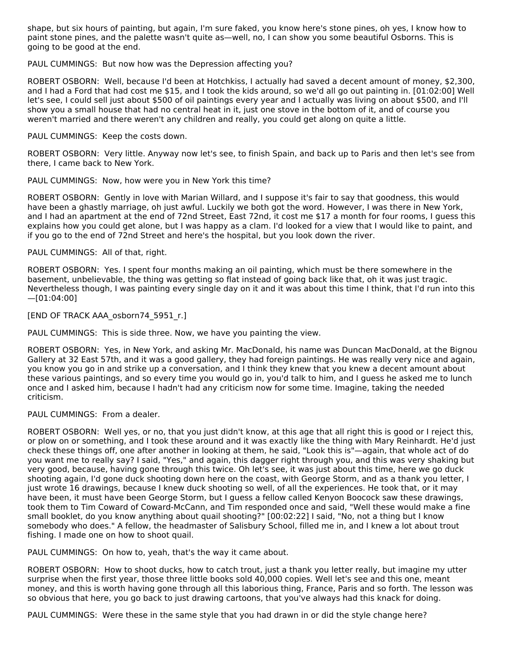shape, but six hours of painting, but again, I'm sure faked, you know here's stone pines, oh yes, I know how to paint stone pines, and the palette wasn't quite as—well, no, I can show you some beautiful Osborns. This is going to be good at the end.

#### PAUL CUMMINGS: But now how was the Depression affecting you?

ROBERT OSBORN: Well, because I'd been at Hotchkiss, I actually had saved a decent amount of money, \$2,300, and I had a Ford that had cost me \$15, and I took the kids around, so we'd all go out painting in. [01:02:00] Well let's see, I could sell just about \$500 of oil paintings every year and I actually was living on about \$500, and I'll show you a small house that had no central heat in it, just one stove in the bottom of it, and of course you weren't married and there weren't any children and really, you could get along on quite a little.

PAUL CUMMINGS: Keep the costs down.

ROBERT OSBORN: Very little. Anyway now let's see, to finish Spain, and back up to Paris and then let's see from there, I came back to New York.

PAUL CUMMINGS: Now, how were you in New York this time?

ROBERT OSBORN: Gently in love with Marian Willard, and I suppose it's fair to say that goodness, this would have been a ghastly marriage, oh just awful. Luckily we both got the word. However, I was there in New York, and I had an apartment at the end of 72nd Street, East 72nd, it cost me \$17 a month for four rooms, I guess this explains how you could get alone, but I was happy as a clam. I'd looked for a view that I would like to paint, and if you go to the end of 72nd Street and here's the hospital, but you look down the river.

## PAUL CUMMINGS: All of that, right.

ROBERT OSBORN: Yes. I spent four months making an oil painting, which must be there somewhere in the basement, unbelievable, the thing was getting so flat instead of going back like that, oh it was just tragic. Nevertheless though, I was painting every single day on it and it was about this time I think, that I'd run into this  $-[01:04:00]$ 

[END OF TRACK AAA\_osborn74\_5951\_r.]

PAUL CUMMINGS: This is side three. Now, we have you painting the view.

ROBERT OSBORN: Yes, in New York, and asking Mr. MacDonald, his name was Duncan MacDonald, at the Bignou Gallery at 32 East 57th, and it was a good gallery, they had foreign paintings. He was really very nice and again, you know you go in and strike up a conversation, and I think they knew that you knew a decent amount about these various paintings, and so every time you would go in, you'd talk to him, and I guess he asked me to lunch once and I asked him, because I hadn't had any criticism now for some time. Imagine, taking the needed criticism.

PAUL CUMMINGS: From a dealer.

ROBERT OSBORN: Well yes, or no, that you just didn't know, at this age that all right this is good or I reject this, or plow on or something, and I took these around and it was exactly like the thing with Mary Reinhardt. He'd just check these things off, one after another in looking at them, he said, "Look this is"—again, that whole act of do you want me to really say? I said, "Yes," and again, this dagger right through you, and this was very shaking but very good, because, having gone through this twice. Oh let's see, it was just about this time, here we go duck shooting again, I'd gone duck shooting down here on the coast, with George Storm, and as a thank you letter, I just wrote 16 drawings, because I knew duck shooting so well, of all the experiences. He took that, or it may have been, it must have been George Storm, but I guess a fellow called Kenyon Boocock saw these drawings, took them to Tim Coward of Coward-McCann, and Tim responded once and said, "Well these would make a fine small booklet, do you know anything about quail shooting?" [00:02:22] I said, "No, not a thing but I know somebody who does." A fellow, the headmaster of Salisbury School, filled me in, and I knew a lot about trout fishing. I made one on how to shoot quail.

PAUL CUMMINGS: On how to, yeah, that's the way it came about.

ROBERT OSBORN: How to shoot ducks, how to catch trout, just a thank you letter really, but imagine my utter surprise when the first year, those three little books sold 40,000 copies. Well let's see and this one, meant money, and this is worth having gone through all this laborious thing, France, Paris and so forth. The lesson was so obvious that here, you go back to just drawing cartoons, that you've always had this knack for doing.

PAUL CUMMINGS: Were these in the same style that you had drawn in or did the style change here?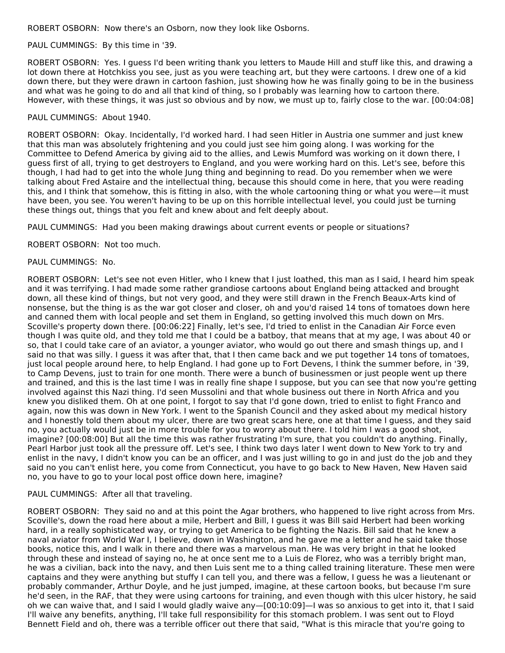ROBERT OSBORN: Now there's an Osborn, now they look like Osborns.

#### PAUL CUMMINGS: By this time in '39.

ROBERT OSBORN: Yes. I guess I'd been writing thank you letters to Maude Hill and stuff like this, and drawing a lot down there at Hotchkiss you see, just as you were teaching art, but they were cartoons. I drew one of a kid down there, but they were drawn in cartoon fashion, just showing how he was finally going to be in the business and what was he going to do and all that kind of thing, so I probably was learning how to cartoon there. However, with these things, it was just so obvious and by now, we must up to, fairly close to the war. [00:04:08]

## PAUL CUMMINGS: About 1940.

ROBERT OSBORN: Okay. Incidentally, I'd worked hard. I had seen Hitler in Austria one summer and just knew that this man was absolutely frightening and you could just see him going along. I was working for the Committee to Defend America by giving aid to the allies, and Lewis Mumford was working on it down there, I guess first of all, trying to get destroyers to England, and you were working hard on this. Let's see, before this though, I had had to get into the whole Jung thing and beginning to read. Do you remember when we were talking about Fred Astaire and the intellectual thing, because this should come in here, that you were reading this, and I think that somehow, this is fitting in also, with the whole cartooning thing or what you were—it must have been, you see. You weren't having to be up on this horrible intellectual level, you could just be turning these things out, things that you felt and knew about and felt deeply about.

PAUL CUMMINGS: Had you been making drawings about current events or people or situations?

ROBERT OSBORN: Not too much.

## PAUL CUMMINGS: No.

ROBERT OSBORN: Let's see not even Hitler, who I knew that I just loathed, this man as I said, I heard him speak and it was terrifying. I had made some rather grandiose cartoons about England being attacked and brought down, all these kind of things, but not very good, and they were still drawn in the French Beaux-Arts kind of nonsense, but the thing is as the war got closer and closer, oh and you'd raised 14 tons of tomatoes down here and canned them with local people and set them in England, so getting involved this much down on Mrs. Scoville's property down there. [00:06:22] Finally, let's see, I'd tried to enlist in the Canadian Air Force even though I was quite old, and they told me that I could be a batboy, that means that at my age, I was about 40 or so, that I could take care of an aviator, a younger aviator, who would go out there and smash things up, and I said no that was silly. I guess it was after that, that I then came back and we put together 14 tons of tomatoes, just local people around here, to help England. I had gone up to Fort Devens, I think the summer before, in '39, to Camp Devens, just to train for one month. There were a bunch of businessmen or just people went up there and trained, and this is the last time I was in really fine shape I suppose, but you can see that now you're getting involved against this Nazi thing. I'd seen Mussolini and that whole business out there in North Africa and you knew you disliked them. Oh at one point, I forgot to say that I'd gone down, tried to enlist to fight Franco and again, now this was down in New York. I went to the Spanish Council and they asked about my medical history and I honestly told them about my ulcer, there are two great scars here, one at that time I guess, and they said no, you actually would just be in more trouble for you to worry about there. I told him I was a good shot, imagine? [00:08:00] But all the time this was rather frustrating I'm sure, that you couldn't do anything. Finally, Pearl Harbor just took all the pressure off. Let's see, I think two days later I went down to New York to try and enlist in the navy, I didn't know you can be an officer, and I was just willing to go in and just do the job and they said no you can't enlist here, you come from Connecticut, you have to go back to New Haven, New Haven said no, you have to go to your local post office down here, imagine?

#### PAUL CUMMINGS: After all that traveling.

ROBERT OSBORN: They said no and at this point the Agar brothers, who happened to live right across from Mrs. Scoville's, down the road here about a mile, Herbert and Bill, I guess it was Bill said Herbert had been working hard, in a really sophisticated way, or trying to get America to be fighting the Nazis. Bill said that he knew a naval aviator from World War I, I believe, down in Washington, and he gave me a letter and he said take those books, notice this, and I walk in there and there was a marvelous man. He was very bright in that he looked through these and instead of saying no, he at once sent me to a Luis de Florez, who was a terribly bright man, he was a civilian, back into the navy, and then Luis sent me to a thing called training literature. These men were captains and they were anything but stuffy I can tell you, and there was a fellow, I guess he was a lieutenant or probably commander, Arthur Doyle, and he just jumped, imagine, at these cartoon books, but because I'm sure he'd seen, in the RAF, that they were using cartoons for training, and even though with this ulcer history, he said oh we can waive that, and I said I would gladly waive any—[00:10:09]—I was so anxious to get into it, that I said I'll waive any benefits, anything, I'll take full responsibility for this stomach problem. I was sent out to Floyd Bennett Field and oh, there was a terrible officer out there that said, "What is this miracle that you're going to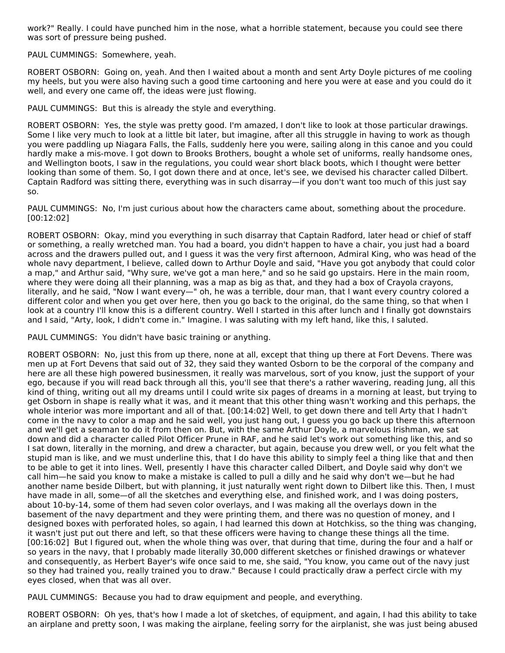work?" Really. I could have punched him in the nose, what a horrible statement, because you could see there was sort of pressure being pushed.

PAUL CUMMINGS: Somewhere, yeah.

ROBERT OSBORN: Going on, yeah. And then I waited about a month and sent Arty Doyle pictures of me cooling my heels, but you were also having such a good time cartooning and here you were at ease and you could do it well, and every one came off, the ideas were just flowing.

PAUL CUMMINGS: But this is already the style and everything.

ROBERT OSBORN: Yes, the style was pretty good. I'm amazed, I don't like to look at those particular drawings. Some I like very much to look at a little bit later, but imagine, after all this struggle in having to work as though you were paddling up Niagara Falls, the Falls, suddenly here you were, sailing along in this canoe and you could hardly make a mis-move. I got down to Brooks Brothers, bought a whole set of uniforms, really handsome ones, and Wellington boots, I saw in the regulations, you could wear short black boots, which I thought were better looking than some of them. So, I got down there and at once, let's see, we devised his character called Dilbert. Captain Radford was sitting there, everything was in such disarray—if you don't want too much of this just say so.

PAUL CUMMINGS: No, I'm just curious about how the characters came about, something about the procedure. [00:12:02]

ROBERT OSBORN: Okay, mind you everything in such disarray that Captain Radford, later head or chief of staff or something, a really wretched man. You had a board, you didn't happen to have a chair, you just had a board across and the drawers pulled out, and I guess it was the very first afternoon, Admiral King, who was head of the whole navy department, I believe, called down to Arthur Doyle and said, "Have you got anybody that could color a map," and Arthur said, "Why sure, we've got a man here," and so he said go upstairs. Here in the main room, where they were doing all their planning, was a map as big as that, and they had a box of Crayola crayons, literally, and he said, "Now I want every—" oh, he was a terrible, dour man, that I want every country colored a different color and when you get over here, then you go back to the original, do the same thing, so that when I look at a country I'll know this is a different country. Well I started in this after lunch and I finally got downstairs and I said, "Arty, look, I didn't come in." Imagine. I was saluting with my left hand, like this, I saluted.

PAUL CUMMINGS: You didn't have basic training or anything.

ROBERT OSBORN: No, just this from up there, none at all, except that thing up there at Fort Devens. There was men up at Fort Devens that said out of 32, they said they wanted Osborn to be the corporal of the company and here are all these high powered businessmen, it really was marvelous, sort of you know, just the support of your ego, because if you will read back through all this, you'll see that there's a rather wavering, reading Jung, all this kind of thing, writing out all my dreams until I could write six pages of dreams in a morning at least, but trying to get Osborn in shape is really what it was, and it meant that this other thing wasn't working and this perhaps, the whole interior was more important and all of that. [00:14:02] Well, to get down there and tell Arty that I hadn't come in the navy to color a map and he said well, you just hang out, I guess you go back up there this afternoon and we'll get a seaman to do it from then on. But, with the same Arthur Doyle, a marvelous Irishman, we sat down and did a character called Pilot Officer Prune in RAF, and he said let's work out something like this, and so I sat down, literally in the morning, and drew a character, but again, because you drew well, or you felt what the stupid man is like, and we must underline this, that I do have this ability to simply feel a thing like that and then to be able to get it into lines. Well, presently I have this character called Dilbert, and Doyle said why don't we call him—he said you know to make a mistake is called to pull a dilly and he said why don't we—but he had another name beside Dilbert, but with planning, it just naturally went right down to Dilbert like this. Then, I must have made in all, some—of all the sketches and everything else, and finished work, and I was doing posters, about 10-by-14, some of them had seven color overlays, and I was making all the overlays down in the basement of the navy department and they were printing them, and there was no question of money, and I designed boxes with perforated holes, so again, I had learned this down at Hotchkiss, so the thing was changing, it wasn't just put out there and left, so that these officers were having to change these things all the time. [00:16:02] But I figured out, when the whole thing was over, that during that time, during the four and a half or so years in the navy, that I probably made literally 30,000 different sketches or finished drawings or whatever and consequently, as Herbert Bayer's wife once said to me, she said, "You know, you came out of the navy just so they had trained you, really trained you to draw." Because I could practically draw a perfect circle with my eyes closed, when that was all over.

PAUL CUMMINGS: Because you had to draw equipment and people, and everything.

ROBERT OSBORN: Oh yes, that's how I made a lot of sketches, of equipment, and again, I had this ability to take an airplane and pretty soon, I was making the airplane, feeling sorry for the airplanist, she was just being abused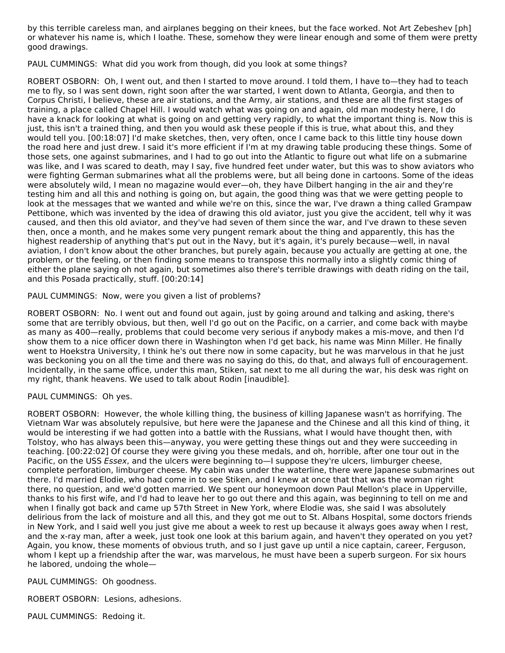by this terrible careless man, and airplanes begging on their knees, but the face worked. Not Art Zebeshev [ph] or whatever his name is, which I loathe. These, somehow they were linear enough and some of them were pretty good drawings.

PAUL CUMMINGS: What did you work from though, did you look at some things?

ROBERT OSBORN: Oh, I went out, and then I started to move around. I told them, I have to—they had to teach me to fly, so I was sent down, right soon after the war started, I went down to Atlanta, Georgia, and then to Corpus Christi, I believe, these are air stations, and the Army, air stations, and these are all the first stages of training, a place called Chapel Hill. I would watch what was going on and again, old man modesty here, I do have a knack for looking at what is going on and getting very rapidly, to what the important thing is. Now this is just, this isn't a trained thing, and then you would ask these people if this is true, what about this, and they would tell you. [00:18:07] I'd make sketches, then, very often, once I came back to this little tiny house down the road here and just drew. I said it's more efficient if I'm at my drawing table producing these things. Some of those sets, one against submarines, and I had to go out into the Atlantic to figure out what life on a submarine was like, and I was scared to death, may I say, five hundred feet under water, but this was to show aviators who were fighting German submarines what all the problems were, but all being done in cartoons. Some of the ideas were absolutely wild, I mean no magazine would ever—oh, they have Dilbert hanging in the air and they're testing him and all this and nothing is going on, but again, the good thing was that we were getting people to look at the messages that we wanted and while we're on this, since the war, I've drawn a thing called Grampaw Pettibone, which was invented by the idea of drawing this old aviator, just you give the accident, tell why it was caused, and then this old aviator, and they've had seven of them since the war, and I've drawn to these seven then, once a month, and he makes some very pungent remark about the thing and apparently, this has the highest readership of anything that's put out in the Navy, but it's again, it's purely because—well, in naval aviation, I don't know about the other branches, but purely again, because you actually are getting at one, the problem, or the feeling, or then finding some means to transpose this normally into a slightly comic thing of either the plane saying oh not again, but sometimes also there's terrible drawings with death riding on the tail, and this Posada practically, stuff. [00:20:14]

## PAUL CUMMINGS: Now, were you given a list of problems?

ROBERT OSBORN: No. I went out and found out again, just by going around and talking and asking, there's some that are terribly obvious, but then, well I'd go out on the Pacific, on a carrier, and come back with maybe as many as 400—really, problems that could become very serious if anybody makes a mis-move, and then I'd show them to a nice officer down there in Washington when I'd get back, his name was Minn Miller. He finally went to Hoekstra University, I think he's out there now in some capacity, but he was marvelous in that he just was beckoning you on all the time and there was no saying do this, do that, and always full of encouragement. Incidentally, in the same office, under this man, Stiken, sat next to me all during the war, his desk was right on my right, thank heavens. We used to talk about Rodin [inaudible].

## PAUL CUMMINGS: Oh yes.

ROBERT OSBORN: However, the whole killing thing, the business of killing Japanese wasn't as horrifying. The Vietnam War was absolutely repulsive, but here were the Japanese and the Chinese and all this kind of thing, it would be interesting if we had gotten into a battle with the Russians, what I would have thought then, with Tolstoy, who has always been this—anyway, you were getting these things out and they were succeeding in teaching. [00:22:02] Of course they were giving you these medals, and oh, horrible, after one tour out in the Pacific, on the USS Essex, and the ulcers were beginning to—I suppose they're ulcers, limburger cheese, complete perforation, limburger cheese. My cabin was under the waterline, there were Japanese submarines out there. I'd married Elodie, who had come in to see Stiken, and I knew at once that that was the woman right there, no question, and we'd gotten married. We spent our honeymoon down Paul Mellon's place in Upperville, thanks to his first wife, and I'd had to leave her to go out there and this again, was beginning to tell on me and when I finally got back and came up 57th Street in New York, where Elodie was, she said I was absolutely delirious from the lack of moisture and all this, and they got me out to St. Albans Hospital, some doctors friends in New York, and I said well you just give me about a week to rest up because it always goes away when I rest, and the x-ray man, after a week, just took one look at this barium again, and haven't they operated on you yet? Again, you know, these moments of obvious truth, and so I just gave up until a nice captain, career, Ferguson, whom I kept up a friendship after the war, was marvelous, he must have been a superb surgeon. For six hours he labored, undoing the whole—

#### PAUL CUMMINGS: Oh goodness.

ROBERT OSBORN: Lesions, adhesions.

PAUL CUMMINGS: Redoing it.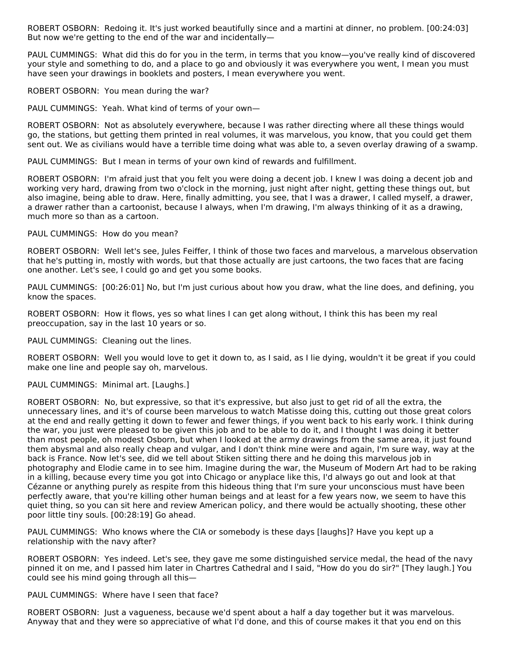ROBERT OSBORN: Redoing it. It's just worked beautifully since and a martini at dinner, no problem. [00:24:03] But now we're getting to the end of the war and incidentally—

PAUL CUMMINGS: What did this do for you in the term, in terms that you know—you've really kind of discovered your style and something to do, and a place to go and obviously it was everywhere you went, I mean you must have seen your drawings in booklets and posters, I mean everywhere you went.

ROBERT OSBORN: You mean during the war?

PAUL CUMMINGS: Yeah. What kind of terms of your own—

ROBERT OSBORN: Not as absolutely everywhere, because I was rather directing where all these things would go, the stations, but getting them printed in real volumes, it was marvelous, you know, that you could get them sent out. We as civilians would have a terrible time doing what was able to, a seven overlay drawing of a swamp.

PAUL CUMMINGS: But I mean in terms of your own kind of rewards and fulfillment.

ROBERT OSBORN: I'm afraid just that you felt you were doing a decent job. I knew I was doing a decent job and working very hard, drawing from two o'clock in the morning, just night after night, getting these things out, but also imagine, being able to draw. Here, finally admitting, you see, that I was a drawer, I called myself, a drawer, a drawer rather than a cartoonist, because I always, when I'm drawing, I'm always thinking of it as a drawing, much more so than as a cartoon.

PAUL CUMMINGS: How do you mean?

ROBERT OSBORN: Well let's see, Jules Feiffer, I think of those two faces and marvelous, a marvelous observation that he's putting in, mostly with words, but that those actually are just cartoons, the two faces that are facing one another. Let's see, I could go and get you some books.

PAUL CUMMINGS: [00:26:01] No, but I'm just curious about how you draw, what the line does, and defining, you know the spaces.

ROBERT OSBORN: How it flows, yes so what lines I can get along without, I think this has been my real preoccupation, say in the last 10 years or so.

PAUL CUMMINGS: Cleaning out the lines.

ROBERT OSBORN: Well you would love to get it down to, as I said, as I lie dying, wouldn't it be great if you could make one line and people say oh, marvelous.

PAUL CUMMINGS: Minimal art. [Laughs.]

ROBERT OSBORN: No, but expressive, so that it's expressive, but also just to get rid of all the extra, the unnecessary lines, and it's of course been marvelous to watch Matisse doing this, cutting out those great colors at the end and really getting it down to fewer and fewer things, if you went back to his early work. I think during the war, you just were pleased to be given this job and to be able to do it, and I thought I was doing it better than most people, oh modest Osborn, but when I looked at the army drawings from the same area, it just found them abysmal and also really cheap and vulgar, and I don't think mine were and again, I'm sure way, way at the back is France. Now let's see, did we tell about Stiken sitting there and he doing this marvelous job in photography and Elodie came in to see him. Imagine during the war, the Museum of Modern Art had to be raking in a killing, because every time you got into Chicago or anyplace like this, I'd always go out and look at that Cézanne or anything purely as respite from this hideous thing that I'm sure your unconscious must have been perfectly aware, that you're killing other human beings and at least for a few years now, we seem to have this quiet thing, so you can sit here and review American policy, and there would be actually shooting, these other poor little tiny souls. [00:28:19] Go ahead.

PAUL CUMMINGS: Who knows where the CIA or somebody is these days [laughs]? Have you kept up a relationship with the navy after?

ROBERT OSBORN: Yes indeed. Let's see, they gave me some distinguished service medal, the head of the navy pinned it on me, and I passed him later in Chartres Cathedral and I said, "How do you do sir?" [They laugh.] You could see his mind going through all this—

PAUL CUMMINGS: Where have I seen that face?

ROBERT OSBORN: Just a vagueness, because we'd spent about a half a day together but it was marvelous. Anyway that and they were so appreciative of what I'd done, and this of course makes it that you end on this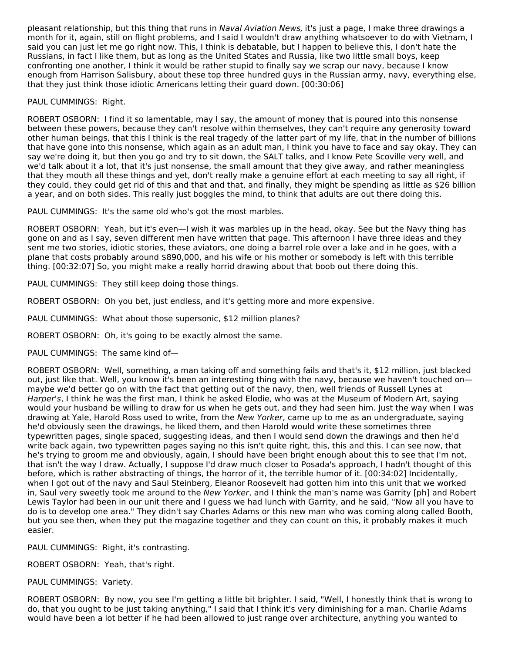pleasant relationship, but this thing that runs in Naval Aviation News, it's just a page, I make three drawings a month for it, again, still on flight problems, and I said I wouldn't draw anything whatsoever to do with Vietnam, I said you can just let me go right now. This, I think is debatable, but I happen to believe this, I don't hate the Russians, in fact I like them, but as long as the United States and Russia, like two little small boys, keep confronting one another, I think it would be rather stupid to finally say we scrap our navy, because I know enough from Harrison Salisbury, about these top three hundred guys in the Russian army, navy, everything else, that they just think those idiotic Americans letting their guard down. [00:30:06]

## PAUL CUMMINGS: Right.

ROBERT OSBORN: I find it so lamentable, may I say, the amount of money that is poured into this nonsense between these powers, because they can't resolve within themselves, they can't require any generosity toward other human beings, that this I think is the real tragedy of the latter part of my life, that in the number of billions that have gone into this nonsense, which again as an adult man, I think you have to face and say okay. They can say we're doing it, but then you go and try to sit down, the SALT talks, and I know Pete Scoville very well, and we'd talk about it a lot, that it's just nonsense, the small amount that they give away, and rather meaningless that they mouth all these things and yet, don't really make a genuine effort at each meeting to say all right, if they could, they could get rid of this and that and that, and finally, they might be spending as little as \$26 billion a year, and on both sides. This really just boggles the mind, to think that adults are out there doing this.

PAUL CUMMINGS: It's the same old who's got the most marbles.

ROBERT OSBORN: Yeah, but it's even—I wish it was marbles up in the head, okay. See but the Navy thing has gone on and as I say, seven different men have written that page. This afternoon I have three ideas and they sent me two stories, idiotic stories, these aviators, one doing a barrel role over a lake and in he goes, with a plane that costs probably around \$890,000, and his wife or his mother or somebody is left with this terrible thing. [00:32:07] So, you might make a really horrid drawing about that boob out there doing this.

PAUL CUMMINGS: They still keep doing those things.

ROBERT OSBORN: Oh you bet, just endless, and it's getting more and more expensive.

PAUL CUMMINGS: What about those supersonic, \$12 million planes?

ROBERT OSBORN: Oh, it's going to be exactly almost the same.

PAUL CUMMINGS: The same kind of—

ROBERT OSBORN: Well, something, a man taking off and something fails and that's it, \$12 million, just blacked out, just like that. Well, you know it's been an interesting thing with the navy, because we haven't touched on maybe we'd better go on with the fact that getting out of the navy, then, well friends of Russell Lynes at Harper's, I think he was the first man, I think he asked Elodie, who was at the Museum of Modern Art, saying would your husband be willing to draw for us when he gets out, and they had seen him. Just the way when I was drawing at Yale, Harold Ross used to write, from the New Yorker, came up to me as an undergraduate, saying he'd obviously seen the drawings, he liked them, and then Harold would write these sometimes three typewritten pages, single spaced, suggesting ideas, and then I would send down the drawings and then he'd write back again, two typewritten pages saying no this isn't quite right, this, this and this. I can see now, that he's trying to groom me and obviously, again, I should have been bright enough about this to see that I'm not, that isn't the way I draw. Actually, I suppose I'd draw much closer to Posada's approach, I hadn't thought of this before, which is rather abstracting of things, the horror of it, the terrible humor of it. [00:34:02] Incidentally, when I got out of the navy and Saul Steinberg, Eleanor Roosevelt had gotten him into this unit that we worked in, Saul very sweetly took me around to the New Yorker, and I think the man's name was Garrity [ph] and Robert Lewis Taylor had been in our unit there and I guess we had lunch with Garrity, and he said, "Now all you have to do is to develop one area." They didn't say Charles Adams or this new man who was coming along called Booth, but you see then, when they put the magazine together and they can count on this, it probably makes it much easier.

PAUL CUMMINGS: Right, it's contrasting.

ROBERT OSBORN: Yeah, that's right.

PAUL CUMMINGS: Variety.

ROBERT OSBORN: By now, you see I'm getting a little bit brighter. I said, "Well, I honestly think that is wrong to do, that you ought to be just taking anything," I said that I think it's very diminishing for a man. Charlie Adams would have been a lot better if he had been allowed to just range over architecture, anything you wanted to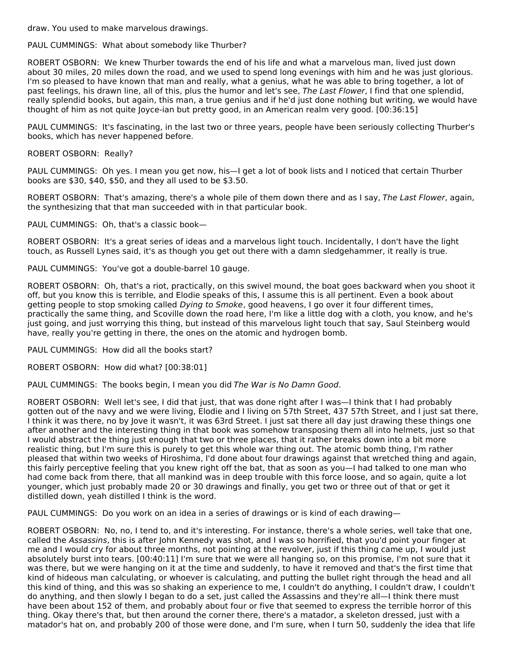draw. You used to make marvelous drawings.

PAUL CUMMINGS: What about somebody like Thurber?

ROBERT OSBORN: We knew Thurber towards the end of his life and what a marvelous man, lived just down about 30 miles, 20 miles down the road, and we used to spend long evenings with him and he was just glorious. I'm so pleased to have known that man and really, what a genius, what he was able to bring together, a lot of past feelings, his drawn line, all of this, plus the humor and let's see, The Last Flower, I find that one splendid, really splendid books, but again, this man, a true genius and if he'd just done nothing but writing, we would have thought of him as not quite Joyce-ian but pretty good, in an American realm very good. [00:36:15]

PAUL CUMMINGS: It's fascinating, in the last two or three years, people have been seriously collecting Thurber's books, which has never happened before.

ROBERT OSBORN: Really?

PAUL CUMMINGS: Oh yes. I mean you get now, his—I get a lot of book lists and I noticed that certain Thurber books are \$30, \$40, \$50, and they all used to be \$3.50.

ROBERT OSBORN: That's amazing, there's a whole pile of them down there and as I say, The Last Flower, again, the synthesizing that that man succeeded with in that particular book.

PAUL CUMMINGS: Oh, that's a classic book—

ROBERT OSBORN: It's a great series of ideas and a marvelous light touch. Incidentally, I don't have the light touch, as Russell Lynes said, it's as though you get out there with a damn sledgehammer, it really is true.

PAUL CUMMINGS: You've got a double-barrel 10 gauge.

ROBERT OSBORN: Oh, that's a riot, practically, on this swivel mound, the boat goes backward when you shoot it off, but you know this is terrible, and Elodie speaks of this, I assume this is all pertinent. Even a book about getting people to stop smoking called *Dying to Smoke*, good heavens, I go over it four different times, practically the same thing, and Scoville down the road here, I'm like a little dog with a cloth, you know, and he's just going, and just worrying this thing, but instead of this marvelous light touch that say, Saul Steinberg would have, really you're getting in there, the ones on the atomic and hydrogen bomb.

PAUL CUMMINGS: How did all the books start?

ROBERT OSBORN: How did what? [00:38:01]

PAUL CUMMINGS: The books begin, I mean you did The War is No Damn Good.

ROBERT OSBORN: Well let's see, I did that just, that was done right after I was—I think that I had probably gotten out of the navy and we were living, Elodie and I living on 57th Street, 437 57th Street, and I just sat there, I think it was there, no by Jove it wasn't, it was 63rd Street. I just sat there all day just drawing these things one after another and the interesting thing in that book was somehow transposing them all into helmets, just so that I would abstract the thing just enough that two or three places, that it rather breaks down into a bit more realistic thing, but I'm sure this is purely to get this whole war thing out. The atomic bomb thing, I'm rather pleased that within two weeks of Hiroshima, I'd done about four drawings against that wretched thing and again, this fairly perceptive feeling that you knew right off the bat, that as soon as you—I had talked to one man who had come back from there, that all mankind was in deep trouble with this force loose, and so again, quite a lot younger, which just probably made 20 or 30 drawings and finally, you get two or three out of that or get it distilled down, yeah distilled I think is the word.

PAUL CUMMINGS: Do you work on an idea in a series of drawings or is kind of each drawing-

ROBERT OSBORN: No, no, I tend to, and it's interesting. For instance, there's a whole series, well take that one, called the Assassins, this is after John Kennedy was shot, and I was so horrified, that you'd point your finger at me and I would cry for about three months, not pointing at the revolver, just if this thing came up, I would just absolutely burst into tears. [00:40:11] I'm sure that we were all hanging so, on this promise, I'm not sure that it was there, but we were hanging on it at the time and suddenly, to have it removed and that's the first time that kind of hideous man calculating, or whoever is calculating, and putting the bullet right through the head and all this kind of thing, and this was so shaking an experience to me, I couldn't do anything, I couldn't draw, I couldn't do anything, and then slowly I began to do a set, just called the Assassins and they're all—I think there must have been about 152 of them, and probably about four or five that seemed to express the terrible horror of this thing. Okay there's that, but then around the corner there, there's a matador, a skeleton dressed, just with a matador's hat on, and probably 200 of those were done, and I'm sure, when I turn 50, suddenly the idea that life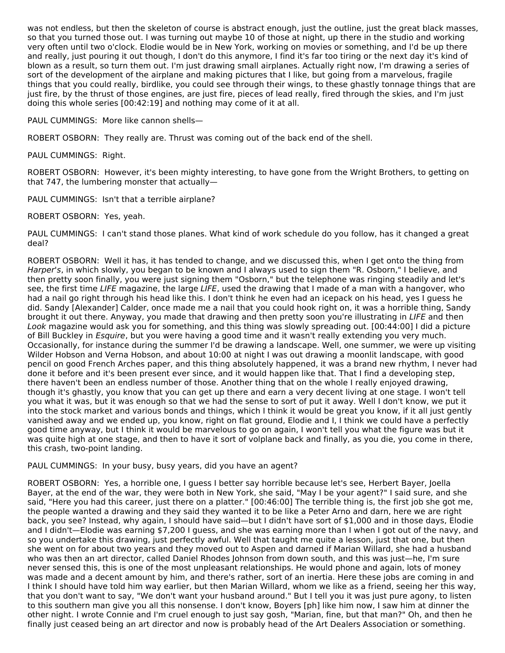was not endless, but then the skeleton of course is abstract enough, just the outline, just the great black masses, so that you turned those out. I was turning out maybe 10 of those at night, up there in the studio and working very often until two o'clock. Elodie would be in New York, working on movies or something, and I'd be up there and really, just pouring it out though, I don't do this anymore, I find it's far too tiring or the next day it's kind of blown as a result, so turn them out. I'm just drawing small airplanes. Actually right now, I'm drawing a series of sort of the development of the airplane and making pictures that I like, but going from a marvelous, fragile things that you could really, birdlike, you could see through their wings, to these ghastly tonnage things that are just fire, by the thrust of those engines, are just fire, pieces of lead really, fired through the skies, and I'm just doing this whole series [00:42:19] and nothing may come of it at all.

PAUL CUMMINGS: More like cannon shells—

ROBERT OSBORN: They really are. Thrust was coming out of the back end of the shell.

PAUL CUMMINGS: Right.

ROBERT OSBORN: However, it's been mighty interesting, to have gone from the Wright Brothers, to getting on that 747, the lumbering monster that actually—

PAUL CUMMINGS: Isn't that a terrible airplane?

ROBERT OSBORN: Yes, yeah.

PAUL CUMMINGS: I can't stand those planes. What kind of work schedule do you follow, has it changed a great deal?

ROBERT OSBORN: Well it has, it has tended to change, and we discussed this, when I get onto the thing from Harper's, in which slowly, you began to be known and I always used to sign them "R. Osborn," I believe, and then pretty soon finally, you were just signing them "Osborn," but the telephone was ringing steadily and let's see, the first time LIFE magazine, the large LIFE, used the drawing that I made of a man with a hangover, who had a nail go right through his head like this. I don't think he even had an icepack on his head, yes I guess he did. Sandy [Alexander] Calder, once made me a nail that you could hook right on, it was a horrible thing, Sandy brought it out there. Anyway, you made that drawing and then pretty soon you're illustrating in LIFE and then Look magazine would ask you for something, and this thing was slowly spreading out. [00:44:00] I did a picture of Bill Buckley in Esquire, but you were having a good time and it wasn't really extending you very much. Occasionally, for instance during the summer I'd be drawing a landscape. Well, one summer, we were up visiting Wilder Hobson and Verna Hobson, and about 10:00 at night I was out drawing a moonlit landscape, with good pencil on good French Arches paper, and this thing absolutely happened, it was a brand new rhythm, I never had done it before and it's been present ever since, and it would happen like that. That I find a developing step, there haven't been an endless number of those. Another thing that on the whole I really enjoyed drawing, though it's ghastly, you know that you can get up there and earn a very decent living at one stage. I won't tell you what it was, but it was enough so that we had the sense to sort of put it away. Well I don't know, we put it into the stock market and various bonds and things, which I think it would be great you know, if it all just gently vanished away and we ended up, you know, right on flat ground, Elodie and I, I think we could have a perfectly good time anyway, but I think it would be marvelous to go on again, I won't tell you what the figure was but it was quite high at one stage, and then to have it sort of volplane back and finally, as you die, you come in there, this crash, two-point landing.

PAUL CUMMINGS: In your busy, busy years, did you have an agent?

ROBERT OSBORN: Yes, a horrible one, I guess I better say horrible because let's see, Herbert Bayer, Joella Bayer, at the end of the war, they were both in New York, she said, "May I be your agent?" I said sure, and she said, "Here you had this career, just there on a platter." [00:46:00] The terrible thing is, the first job she got me, the people wanted a drawing and they said they wanted it to be like a Peter Arno and darn, here we are right back, you see? Instead, why again, I should have said—but I didn't have sort of \$1,000 and in those days, Elodie and I didn't—Elodie was earning \$7,200 I guess, and she was earning more than I when I got out of the navy, and so you undertake this drawing, just perfectly awful. Well that taught me quite a lesson, just that one, but then she went on for about two years and they moved out to Aspen and darned if Marian Willard, she had a husband who was then an art director, called Daniel Rhodes Johnson from down south, and this was just—he, I'm sure never sensed this, this is one of the most unpleasant relationships. He would phone and again, lots of money was made and a decent amount by him, and there's rather, sort of an inertia. Here these jobs are coming in and I think I should have told him way earlier, but then Marian Willard, whom we like as a friend, seeing her this way, that you don't want to say, "We don't want your husband around." But I tell you it was just pure agony, to listen to this southern man give you all this nonsense. I don't know, Boyers [ph] like him now, I saw him at dinner the other night. I wrote Connie and I'm cruel enough to just say gosh, "Marian, fine, but that man?" Oh, and then he finally just ceased being an art director and now is probably head of the Art Dealers Association or something.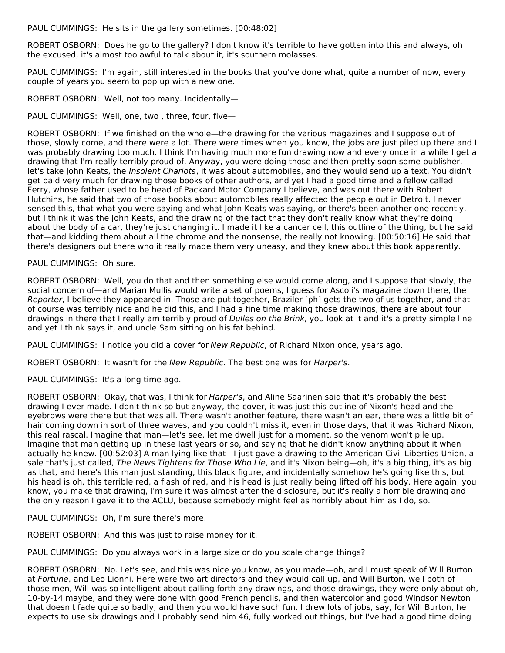PAUL CUMMINGS: He sits in the gallery sometimes. [00:48:02]

ROBERT OSBORN: Does he go to the gallery? I don't know it's terrible to have gotten into this and always, oh the excused, it's almost too awful to talk about it, it's southern molasses.

PAUL CUMMINGS: I'm again, still interested in the books that you've done what, quite a number of now, every couple of years you seem to pop up with a new one.

ROBERT OSBORN: Well, not too many. Incidentally—

PAUL CUMMINGS: Well, one, two , three, four, five—

ROBERT OSBORN: If we finished on the whole—the drawing for the various magazines and I suppose out of those, slowly come, and there were a lot. There were times when you know, the jobs are just piled up there and I was probably drawing too much. I think I'm having much more fun drawing now and every once in a while I get a drawing that I'm really terribly proud of. Anyway, you were doing those and then pretty soon some publisher, let's take John Keats, the *Insolent Chariots*, it was about automobiles, and they would send up a text. You didn't get paid very much for drawing those books of other authors, and yet I had a good time and a fellow called Ferry, whose father used to be head of Packard Motor Company I believe, and was out there with Robert Hutchins, he said that two of those books about automobiles really affected the people out in Detroit. I never sensed this, that what you were saying and what John Keats was saying, or there's been another one recently, but I think it was the John Keats, and the drawing of the fact that they don't really know what they're doing about the body of a car, they're just changing it. I made it like a cancer cell, this outline of the thing, but he said that—and kidding them about all the chrome and the nonsense, the really not knowing. [00:50:16] He said that there's designers out there who it really made them very uneasy, and they knew about this book apparently.

PAUL CUMMINGS: Oh sure.

ROBERT OSBORN: Well, you do that and then something else would come along, and I suppose that slowly, the social concern of—and Marian Mullis would write a set of poems, I guess for Ascoli's magazine down there, the Reporter, I believe they appeared in. Those are put together, Braziler [ph] gets the two of us together, and that of course was terribly nice and he did this, and I had a fine time making those drawings, there are about four drawings in there that I really am terribly proud of Dulles on the Brink, you look at it and it's a pretty simple line and yet I think says it, and uncle Sam sitting on his fat behind.

PAUL CUMMINGS: I notice you did a cover for New Republic, of Richard Nixon once, years ago.

ROBERT OSBORN: It wasn't for the New Republic. The best one was for Harper's.

PAUL CUMMINGS: It's a long time ago.

ROBERT OSBORN: Okay, that was, I think for Harper's, and Aline Saarinen said that it's probably the best drawing I ever made. I don't think so but anyway, the cover, it was just this outline of Nixon's head and the eyebrows were there but that was all. There wasn't another feature, there wasn't an ear, there was a little bit of hair coming down in sort of three waves, and you couldn't miss it, even in those days, that it was Richard Nixon, this real rascal. Imagine that man—let's see, let me dwell just for a moment, so the venom won't pile up. Imagine that man getting up in these last years or so, and saying that he didn't know anything about it when actually he knew. [00:52:03] A man lying like that—I just gave a drawing to the American Civil Liberties Union, a sale that's just called, The News Tightens for Those Who Lie, and it's Nixon being—oh, it's a big thing, it's as big as that, and here's this man just standing, this black figure, and incidentally somehow he's going like this, but his head is oh, this terrible red, a flash of red, and his head is just really being lifted off his body. Here again, you know, you make that drawing, I'm sure it was almost after the disclosure, but it's really a horrible drawing and the only reason I gave it to the ACLU, because somebody might feel as horribly about him as I do, so.

PAUL CUMMINGS: Oh, I'm sure there's more.

ROBERT OSBORN: And this was just to raise money for it.

PAUL CUMMINGS: Do you always work in a large size or do you scale change things?

ROBERT OSBORN: No. Let's see, and this was nice you know, as you made—oh, and I must speak of Will Burton at Fortune, and Leo Lionni. Here were two art directors and they would call up, and Will Burton, well both of those men, Will was so intelligent about calling forth any drawings, and those drawings, they were only about oh, 10-by-14 maybe, and they were done with good French pencils, and then watercolor and good Windsor Newton that doesn't fade quite so badly, and then you would have such fun. I drew lots of jobs, say, for Will Burton, he expects to use six drawings and I probably send him 46, fully worked out things, but I've had a good time doing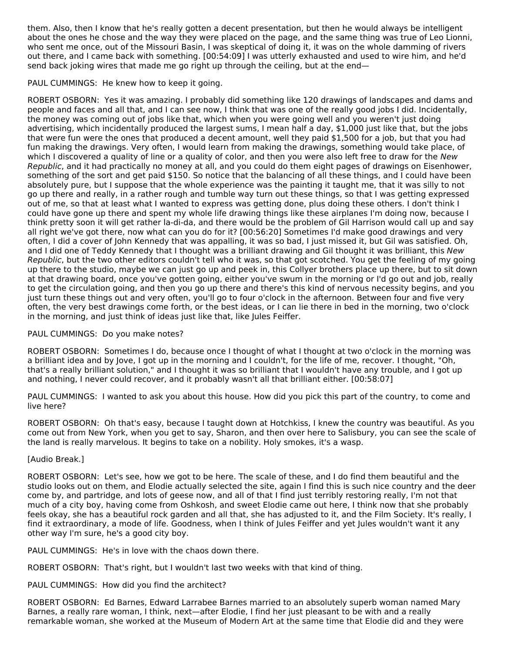them. Also, then I know that he's really gotten a decent presentation, but then he would always be intelligent about the ones he chose and the way they were placed on the page, and the same thing was true of Leo Lionni, who sent me once, out of the Missouri Basin, I was skeptical of doing it, it was on the whole damming of rivers out there, and I came back with something. [00:54:09] I was utterly exhausted and used to wire him, and he'd send back joking wires that made me go right up through the ceiling, but at the end—

PAUL CUMMINGS: He knew how to keep it going.

ROBERT OSBORN: Yes it was amazing. I probably did something like 120 drawings of landscapes and dams and people and faces and all that, and I can see now, I think that was one of the really good jobs I did. Incidentally, the money was coming out of jobs like that, which when you were going well and you weren't just doing advertising, which incidentally produced the largest sums, I mean half a day, \$1,000 just like that, but the jobs that were fun were the ones that produced a decent amount, well they paid \$1,500 for a job, but that you had fun making the drawings. Very often, I would learn from making the drawings, something would take place, of which I discovered a quality of line or a quality of color, and then you were also left free to draw for the New Republic, and it had practically no money at all, and you could do them eight pages of drawings on Eisenhower, something of the sort and get paid \$150. So notice that the balancing of all these things, and I could have been absolutely pure, but I suppose that the whole experience was the painting it taught me, that it was silly to not go up there and really, in a rather rough and tumble way turn out these things, so that I was getting expressed out of me, so that at least what I wanted to express was getting done, plus doing these others. I don't think I could have gone up there and spent my whole life drawing things like these airplanes I'm doing now, because I think pretty soon it will get rather la-di-da, and there would be the problem of Gil Harrison would call up and say all right we've got there, now what can you do for it? [00:56:20] Sometimes I'd make good drawings and very often, I did a cover of John Kennedy that was appalling, it was so bad, I just missed it, but Gil was satisfied. Oh, and I did one of Teddy Kennedy that I thought was a brilliant drawing and Gil thought it was brilliant, this New Republic, but the two other editors couldn't tell who it was, so that got scotched. You get the feeling of my going up there to the studio, maybe we can just go up and peek in, this Collyer brothers place up there, but to sit down at that drawing board, once you've gotten going, either you've swum in the morning or I'd go out and job, really to get the circulation going, and then you go up there and there's this kind of nervous necessity begins, and you just turn these things out and very often, you'll go to four o'clock in the afternoon. Between four and five very often, the very best drawings come forth, or the best ideas, or I can lie there in bed in the morning, two o'clock in the morning, and just think of ideas just like that, like Jules Feiffer.

## PAUL CUMMINGS: Do you make notes?

ROBERT OSBORN: Sometimes I do, because once I thought of what I thought at two o'clock in the morning was a brilliant idea and by Jove, I got up in the morning and I couldn't, for the life of me, recover. I thought, "Oh, that's a really brilliant solution," and I thought it was so brilliant that I wouldn't have any trouble, and I got up and nothing, I never could recover, and it probably wasn't all that brilliant either. [00:58:07]

PAUL CUMMINGS: I wanted to ask you about this house. How did you pick this part of the country, to come and live here?

ROBERT OSBORN: Oh that's easy, because I taught down at Hotchkiss, I knew the country was beautiful. As you come out from New York, when you get to say, Sharon, and then over here to Salisbury, you can see the scale of the land is really marvelous. It begins to take on a nobility. Holy smokes, it's a wasp.

## [Audio Break.]

ROBERT OSBORN: Let's see, how we got to be here. The scale of these, and I do find them beautiful and the studio looks out on them, and Elodie actually selected the site, again I find this is such nice country and the deer come by, and partridge, and lots of geese now, and all of that I find just terribly restoring really, I'm not that much of a city boy, having come from Oshkosh, and sweet Elodie came out here, I think now that she probably feels okay, she has a beautiful rock garden and all that, she has adjusted to it, and the Film Society. It's really, I find it extraordinary, a mode of life. Goodness, when I think of Jules Feiffer and yet Jules wouldn't want it any other way I'm sure, he's a good city boy.

PAUL CUMMINGS: He's in love with the chaos down there.

ROBERT OSBORN: That's right, but I wouldn't last two weeks with that kind of thing.

PAUL CUMMINGS: How did you find the architect?

ROBERT OSBORN: Ed Barnes, Edward Larrabee Barnes married to an absolutely superb woman named Mary Barnes, a really rare woman, I think, next—after Elodie, I find her just pleasant to be with and a really remarkable woman, she worked at the Museum of Modern Art at the same time that Elodie did and they were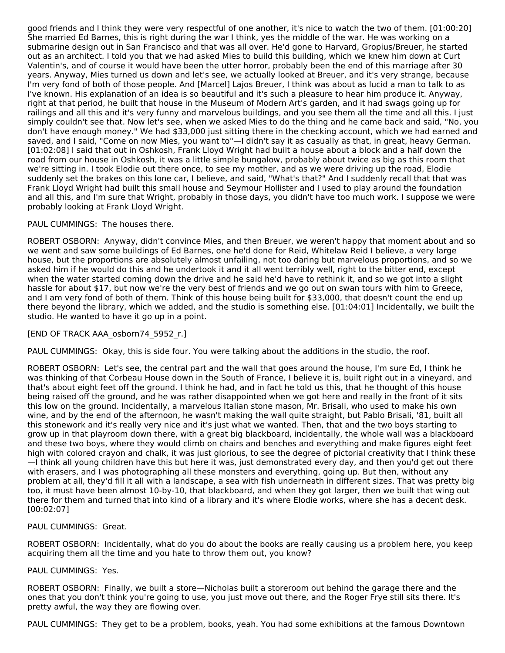good friends and I think they were very respectful of one another, it's nice to watch the two of them. [01:00:20] She married Ed Barnes, this is right during the war I think, yes the middle of the war. He was working on a submarine design out in San Francisco and that was all over. He'd gone to Harvard, Gropius/Breuer, he started out as an architect. I told you that we had asked Mies to build this building, which we knew him down at Curt Valentin's, and of course it would have been the utter horror, probably been the end of this marriage after 30 years. Anyway, Mies turned us down and let's see, we actually looked at Breuer, and it's very strange, because I'm very fond of both of those people. And [Marcel] Lajos Breuer, I think was about as lucid a man to talk to as I've known. His explanation of an idea is so beautiful and it's such a pleasure to hear him produce it. Anyway, right at that period, he built that house in the Museum of Modern Art's garden, and it had swags going up for railings and all this and it's very funny and marvelous buildings, and you see them all the time and all this. I just simply couldn't see that. Now let's see, when we asked Mies to do the thing and he came back and said, "No, you don't have enough money." We had \$33,000 just sitting there in the checking account, which we had earned and saved, and I said, "Come on now Mies, you want to"—I didn't say it as casually as that, in great, heavy German. [01:02:08] I said that out in Oshkosh, Frank Lloyd Wright had built a house about a block and a half down the road from our house in Oshkosh, it was a little simple bungalow, probably about twice as big as this room that we're sitting in. I took Elodie out there once, to see my mother, and as we were driving up the road, Elodie suddenly set the brakes on this lone car, I believe, and said, "What's that?" And I suddenly recall that that was Frank Lloyd Wright had built this small house and Seymour Hollister and I used to play around the foundation and all this, and I'm sure that Wright, probably in those days, you didn't have too much work. I suppose we were probably looking at Frank Lloyd Wright.

#### PAUL CUMMINGS: The houses there.

ROBERT OSBORN: Anyway, didn't convince Mies, and then Breuer, we weren't happy that moment about and so we went and saw some buildings of Ed Barnes, one he'd done for Reid, Whitelaw Reid I believe, a very large house, but the proportions are absolutely almost unfailing, not too daring but marvelous proportions, and so we asked him if he would do this and he undertook it and it all went terribly well, right to the bitter end, except when the water started coming down the drive and he said he'd have to rethink it, and so we got into a slight hassle for about \$17, but now we're the very best of friends and we go out on swan tours with him to Greece, and I am very fond of both of them. Think of this house being built for \$33,000, that doesn't count the end up there beyond the library, which we added, and the studio is something else. [01:04:01] Incidentally, we built the studio. He wanted to have it go up in a point.

## [END OF TRACK AAA\_osborn74\_5952\_r.]

PAUL CUMMINGS: Okay, this is side four. You were talking about the additions in the studio, the roof.

ROBERT OSBORN: Let's see, the central part and the wall that goes around the house, I'm sure Ed, I think he was thinking of that Corbeau House down in the South of France, I believe it is, built right out in a vineyard, and that's about eight feet off the ground. I think he had, and in fact he told us this, that he thought of this house being raised off the ground, and he was rather disappointed when we got here and really in the front of it sits this low on the ground. Incidentally, a marvelous Italian stone mason, Mr. Brisali, who used to make his own wine, and by the end of the afternoon, he wasn't making the wall quite straight, but Pablo Brisali, '81, built all this stonework and it's really very nice and it's just what we wanted. Then, that and the two boys starting to grow up in that playroom down there, with a great big blackboard, incidentally, the whole wall was a blackboard and these two boys, where they would climb on chairs and benches and everything and make figures eight feet high with colored crayon and chalk, it was just glorious, to see the degree of pictorial creativity that I think these —I think all young children have this but here it was, just demonstrated every day, and then you'd get out there

with erasers, and I was photographing all these monsters and everything, going up. But then, without any problem at all, they'd fill it all with a landscape, a sea with fish underneath in different sizes. That was pretty big too, it must have been almost 10-by-10, that blackboard, and when they got larger, then we built that wing out there for them and turned that into kind of a library and it's where Elodie works, where she has a decent desk. [00:02:07]

#### PAUL CUMMINGS: Great.

ROBERT OSBORN: Incidentally, what do you do about the books are really causing us a problem here, you keep acquiring them all the time and you hate to throw them out, you know?

#### PAUL CUMMINGS: Yes.

ROBERT OSBORN: Finally, we built a store—Nicholas built a storeroom out behind the garage there and the ones that you don't think you're going to use, you just move out there, and the Roger Frye still sits there. It's pretty awful, the way they are flowing over.

PAUL CUMMINGS: They get to be a problem, books, yeah. You had some exhibitions at the famous Downtown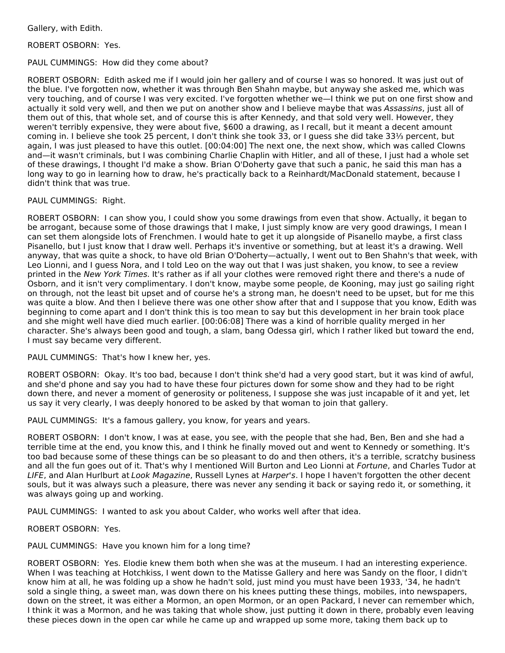Gallery, with Edith.

ROBERT OSBORN: Yes.

#### PAUL CUMMINGS: How did they come about?

ROBERT OSBORN: Edith asked me if I would join her gallery and of course I was so honored. It was just out of the blue. I've forgotten now, whether it was through Ben Shahn maybe, but anyway she asked me, which was very touching, and of course I was very excited. I've forgotten whether we—I think we put on one first show and actually it sold very well, and then we put on another show and I believe maybe that was Assassins, just all of them out of this, that whole set, and of course this is after Kennedy, and that sold very well. However, they weren't terribly expensive, they were about five, \$600 a drawing, as I recall, but it meant a decent amount coming in. I believe she took 25 percent, I don't think she took 33, or I guess she did take 33⅓ percent, but again, I was just pleased to have this outlet. [00:04:00] The next one, the next show, which was called Clowns and—it wasn't criminals, but I was combining Charlie Chaplin with Hitler, and all of these, I just had a whole set of these drawings, I thought I'd make a show. Brian O'Doherty gave that such a panic, he said this man has a long way to go in learning how to draw, he's practically back to a Reinhardt/MacDonald statement, because I didn't think that was true.

## PAUL CUMMINGS: Right.

ROBERT OSBORN: I can show you, I could show you some drawings from even that show. Actually, it began to be arrogant, because some of those drawings that I make, I just simply know are very good drawings, I mean I can set them alongside lots of Frenchmen. I would hate to get it up alongside of Pisanello maybe, a first class Pisanello, but I just know that I draw well. Perhaps it's inventive or something, but at least it's a drawing. Well anyway, that was quite a shock, to have old Brian O'Doherty—actually, I went out to Ben Shahn's that week, with Leo Lionni, and I guess Nora, and I told Leo on the way out that I was just shaken, you know, to see a review printed in the New York Times. It's rather as if all your clothes were removed right there and there's a nude of Osborn, and it isn't very complimentary. I don't know, maybe some people, de Kooning, may just go sailing right on through, not the least bit upset and of course he's a strong man, he doesn't need to be upset, but for me this was quite a blow. And then I believe there was one other show after that and I suppose that you know, Edith was beginning to come apart and I don't think this is too mean to say but this development in her brain took place and she might well have died much earlier. [00:06:08] There was a kind of horrible quality merged in her character. She's always been good and tough, a slam, bang Odessa girl, which I rather liked but toward the end, I must say became very different.

## PAUL CUMMINGS: That's how I knew her, yes.

ROBERT OSBORN: Okay. It's too bad, because I don't think she'd had a very good start, but it was kind of awful, and she'd phone and say you had to have these four pictures down for some show and they had to be right down there, and never a moment of generosity or politeness, I suppose she was just incapable of it and yet, let us say it very clearly, I was deeply honored to be asked by that woman to join that gallery.

PAUL CUMMINGS: It's a famous gallery, you know, for years and years.

ROBERT OSBORN: I don't know, I was at ease, you see, with the people that she had, Ben, Ben and she had a terrible time at the end, you know this, and I think he finally moved out and went to Kennedy or something. It's too bad because some of these things can be so pleasant to do and then others, it's a terrible, scratchy business and all the fun goes out of it. That's why I mentioned Will Burton and Leo Lionni at Fortune, and Charles Tudor at LIFE, and Alan Hurlburt at Look Magazine, Russell Lynes at Harper's. I hope I haven't forgotten the other decent souls, but it was always such a pleasure, there was never any sending it back or saying redo it, or something, it was always going up and working.

PAUL CUMMINGS: I wanted to ask you about Calder, who works well after that idea.

ROBERT OSBORN: Yes.

## PAUL CUMMINGS: Have you known him for a long time?

ROBERT OSBORN: Yes. Elodie knew them both when she was at the museum. I had an interesting experience. When I was teaching at Hotchkiss, I went down to the Matisse Gallery and here was Sandy on the floor, I didn't know him at all, he was folding up a show he hadn't sold, just mind you must have been 1933, '34, he hadn't sold a single thing, a sweet man, was down there on his knees putting these things, mobiles, into newspapers, down on the street, it was either a Mormon, an open Mormon, or an open Packard, I never can remember which, I think it was a Mormon, and he was taking that whole show, just putting it down in there, probably even leaving these pieces down in the open car while he came up and wrapped up some more, taking them back up to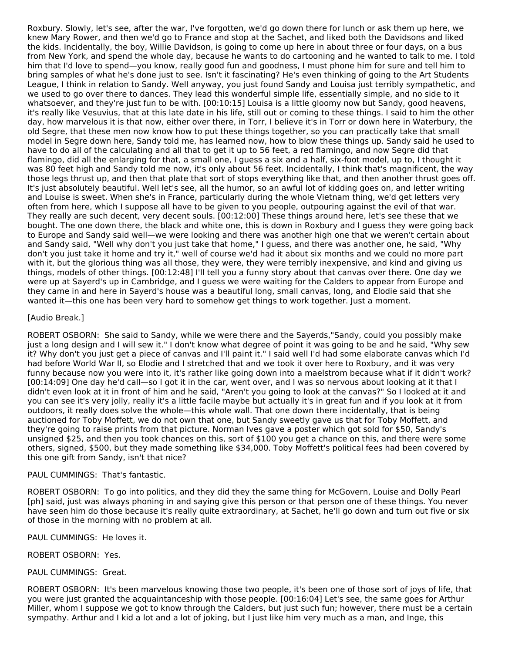Roxbury. Slowly, let's see, after the war, I've forgotten, we'd go down there for lunch or ask them up here, we knew Mary Rower, and then we'd go to France and stop at the Sachet, and liked both the Davidsons and liked the kids. Incidentally, the boy, Willie Davidson, is going to come up here in about three or four days, on a bus from New York, and spend the whole day, because he wants to do cartooning and he wanted to talk to me. I told him that I'd love to spend—you know, really good fun and goodness, I must phone him for sure and tell him to bring samples of what he's done just to see. Isn't it fascinating? He's even thinking of going to the Art Students League, I think in relation to Sandy. Well anyway, you just found Sandy and Louisa just terribly sympathetic, and we used to go over there to dances. They lead this wonderful simple life, essentially simple, and no side to it whatsoever, and they're just fun to be with. [00:10:15] Louisa is a little gloomy now but Sandy, good heavens, it's really like Vesuvius, that at this late date in his life, still out or coming to these things. I said to him the other day, how marvelous it is that now, either over there, in Torr, I believe it's in Torr or down here in Waterbury, the old Segre, that these men now know how to put these things together, so you can practically take that small model in Segre down here, Sandy told me, has learned now, how to blow these things up. Sandy said he used to have to do all of the calculating and all that to get it up to 56 feet, a red flamingo, and now Segre did that flamingo, did all the enlarging for that, a small one, I guess a six and a half, six-foot model, up to, I thought it was 80 feet high and Sandy told me now, it's only about 56 feet. Incidentally, I think that's magnificent, the way those legs thrust up, and then that plate that sort of stops everything like that, and then another thrust goes off. It's just absolutely beautiful. Well let's see, all the humor, so an awful lot of kidding goes on, and letter writing and Louise is sweet. When she's in France, particularly during the whole Vietnam thing, we'd get letters very often from here, which I suppose all have to be given to you people, outpouring against the evil of that war. They really are such decent, very decent souls. [00:12:00] These things around here, let's see these that we bought. The one down there, the black and white one, this is down in Roxbury and I guess they were going back to Europe and Sandy said well—we were looking and there was another high one that we weren't certain about and Sandy said, "Well why don't you just take that home," I guess, and there was another one, he said, "Why don't you just take it home and try it," well of course we'd had it about six months and we could no more part with it, but the glorious thing was all those, they were, they were terribly inexpensive, and kind and giving us things, models of other things. [00:12:48] I'll tell you a funny story about that canvas over there. One day we were up at Sayerd's up in Cambridge, and I guess we were waiting for the Calders to appear from Europe and they came in and here in Sayerd's house was a beautiful long, small canvas, long, and Elodie said that she wanted it—this one has been very hard to somehow get things to work together. Just a moment.

## [Audio Break.]

ROBERT OSBORN: She said to Sandy, while we were there and the Sayerds,"Sandy, could you possibly make just a long design and I will sew it." I don't know what degree of point it was going to be and he said, "Why sew it? Why don't you just get a piece of canvas and I'll paint it." I said well I'd had some elaborate canvas which I'd had before World War II, so Elodie and I stretched that and we took it over here to Roxbury, and it was very funny because now you were into it, it's rather like going down into a maelstrom because what if it didn't work? [00:14:09] One day he'd call—so I got it in the car, went over, and I was so nervous about looking at it that I didn't even look at it in front of him and he said, "Aren't you going to look at the canvas?" So I looked at it and you can see it's very jolly, really it's a little facile maybe but actually it's in great fun and if you look at it from outdoors, it really does solve the whole—this whole wall. That one down there incidentally, that is being auctioned for Toby Moffett, we do not own that one, but Sandy sweetly gave us that for Toby Moffett, and they're going to raise prints from that picture. Norman Ives gave a poster which got sold for \$50, Sandy's unsigned \$25, and then you took chances on this, sort of \$100 you get a chance on this, and there were some others, signed, \$500, but they made something like \$34,000. Toby Moffett's political fees had been covered by this one gift from Sandy, isn't that nice?

#### PAUL CUMMINGS: That's fantastic.

ROBERT OSBORN: To go into politics, and they did they the same thing for McGovern, Louise and Dolly Pearl [ph] said, just was always phoning in and saying give this person or that person one of these things. You never have seen him do those because it's really quite extraordinary, at Sachet, he'll go down and turn out five or six of those in the morning with no problem at all.

PAUL CUMMINGS: He loves it.

ROBERT OSBORN: Yes.

#### PAUL CUMMINGS: Great.

ROBERT OSBORN: It's been marvelous knowing those two people, it's been one of those sort of joys of life, that you were just granted the acquaintanceship with those people. [00:16:04] Let's see, the same goes for Arthur Miller, whom I suppose we got to know through the Calders, but just such fun; however, there must be a certain sympathy. Arthur and I kid a lot and a lot of joking, but I just like him very much as a man, and Inge, this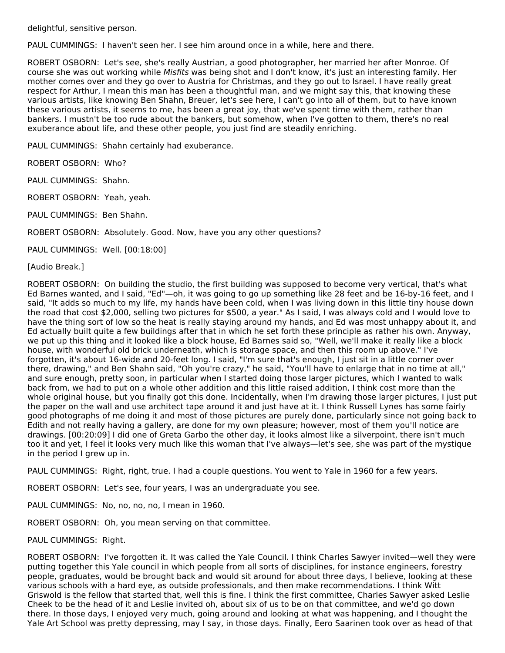delightful, sensitive person.

PAUL CUMMINGS: I haven't seen her. I see him around once in a while, here and there.

ROBERT OSBORN: Let's see, she's really Austrian, a good photographer, her married her after Monroe. Of course she was out working while Misfits was being shot and I don't know, it's just an interesting family. Her mother comes over and they go over to Austria for Christmas, and they go out to Israel. I have really great respect for Arthur, I mean this man has been a thoughtful man, and we might say this, that knowing these various artists, like knowing Ben Shahn, Breuer, let's see here, I can't go into all of them, but to have known these various artists, it seems to me, has been a great joy, that we've spent time with them, rather than bankers. I mustn't be too rude about the bankers, but somehow, when I've gotten to them, there's no real exuberance about life, and these other people, you just find are steadily enriching.

PAUL CUMMINGS: Shahn certainly had exuberance.

ROBERT OSBORN: Who?

PAUL CUMMINGS: Shahn.

ROBERT OSBORN: Yeah, yeah.

PAUL CUMMINGS: Ben Shahn.

ROBERT OSBORN: Absolutely. Good. Now, have you any other questions?

PAUL CUMMINGS: Well. [00:18:00]

[Audio Break.]

ROBERT OSBORN: On building the studio, the first building was supposed to become very vertical, that's what Ed Barnes wanted, and I said, "Ed"—oh, it was going to go up something like 28 feet and be 16-by-16 feet, and I said, "It adds so much to my life, my hands have been cold, when I was living down in this little tiny house down the road that cost \$2,000, selling two pictures for \$500, a year." As I said, I was always cold and I would love to have the thing sort of low so the heat is really staying around my hands, and Ed was most unhappy about it, and Ed actually built quite a few buildings after that in which he set forth these principle as rather his own. Anyway, we put up this thing and it looked like a block house, Ed Barnes said so, "Well, we'll make it really like a block house, with wonderful old brick underneath, which is storage space, and then this room up above." I've forgotten, it's about 16-wide and 20-feet long. I said, "I'm sure that's enough, I just sit in a little corner over there, drawing," and Ben Shahn said, "Oh you're crazy," he said, "You'll have to enlarge that in no time at all," and sure enough, pretty soon, in particular when I started doing those larger pictures, which I wanted to walk back from, we had to put on a whole other addition and this little raised addition, I think cost more than the whole original house, but you finally got this done. Incidentally, when I'm drawing those larger pictures, I just put the paper on the wall and use architect tape around it and just have at it. I think Russell Lynes has some fairly good photographs of me doing it and most of those pictures are purely done, particularly since not going back to Edith and not really having a gallery, are done for my own pleasure; however, most of them you'll notice are drawings. [00:20:09] I did one of Greta Garbo the other day, it looks almost like a silverpoint, there isn't much too it and yet, I feel it looks very much like this woman that I've always—let's see, she was part of the mystique in the period I grew up in.

PAUL CUMMINGS: Right, right, true. I had a couple questions. You went to Yale in 1960 for a few years.

ROBERT OSBORN: Let's see, four years, I was an undergraduate you see.

PAUL CUMMINGS: No, no, no, no, I mean in 1960.

ROBERT OSBORN: Oh, you mean serving on that committee.

PAUL CUMMINGS: Right.

ROBERT OSBORN: I've forgotten it. It was called the Yale Council. I think Charles Sawyer invited—well they were putting together this Yale council in which people from all sorts of disciplines, for instance engineers, forestry people, graduates, would be brought back and would sit around for about three days, I believe, looking at these various schools with a hard eye, as outside professionals, and then make recommendations. I think Witt Griswold is the fellow that started that, well this is fine. I think the first committee, Charles Sawyer asked Leslie Cheek to be the head of it and Leslie invited oh, about six of us to be on that committee, and we'd go down there. In those days, I enjoyed very much, going around and looking at what was happening, and I thought the Yale Art School was pretty depressing, may I say, in those days. Finally, Eero Saarinen took over as head of that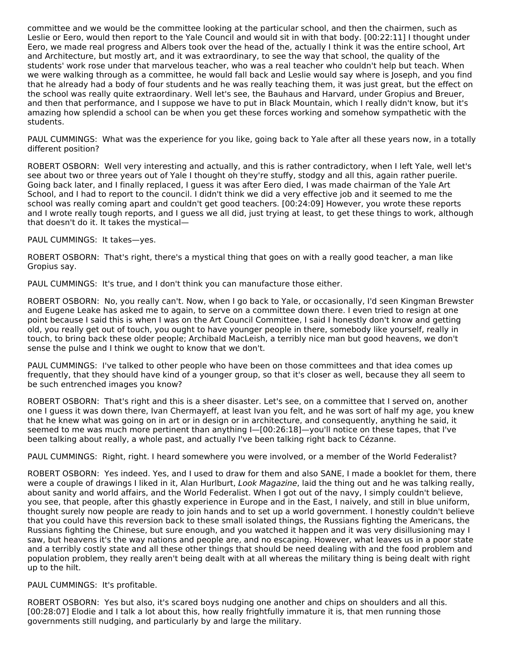committee and we would be the committee looking at the particular school, and then the chairmen, such as Leslie or Eero, would then report to the Yale Council and would sit in with that body. [00:22:11] I thought under Eero, we made real progress and Albers took over the head of the, actually I think it was the entire school, Art and Architecture, but mostly art, and it was extraordinary, to see the way that school, the quality of the students' work rose under that marvelous teacher, who was a real teacher who couldn't help but teach. When we were walking through as a committee, he would fall back and Leslie would say where is Joseph, and you find that he already had a body of four students and he was really teaching them, it was just great, but the effect on the school was really quite extraordinary. Well let's see, the Bauhaus and Harvard, under Gropius and Breuer, and then that performance, and I suppose we have to put in Black Mountain, which I really didn't know, but it's amazing how splendid a school can be when you get these forces working and somehow sympathetic with the students.

PAUL CUMMINGS: What was the experience for you like, going back to Yale after all these years now, in a totally different position?

ROBERT OSBORN: Well very interesting and actually, and this is rather contradictory, when I left Yale, well let's see about two or three years out of Yale I thought oh they're stuffy, stodgy and all this, again rather puerile. Going back later, and I finally replaced, I guess it was after Eero died, I was made chairman of the Yale Art School, and I had to report to the council. I didn't think we did a very effective job and it seemed to me the school was really coming apart and couldn't get good teachers. [00:24:09] However, you wrote these reports and I wrote really tough reports, and I guess we all did, just trying at least, to get these things to work, although that doesn't do it. It takes the mystical—

#### PAUL CUMMINGS: It takes—yes.

ROBERT OSBORN: That's right, there's a mystical thing that goes on with a really good teacher, a man like Gropius say.

PAUL CUMMINGS: It's true, and I don't think you can manufacture those either.

ROBERT OSBORN: No, you really can't. Now, when I go back to Yale, or occasionally, I'd seen Kingman Brewster and Eugene Leake has asked me to again, to serve on a committee down there. I even tried to resign at one point because I said this is when I was on the Art Council Committee, I said I honestly don't know and getting old, you really get out of touch, you ought to have younger people in there, somebody like yourself, really in touch, to bring back these older people; Archibald MacLeish, a terribly nice man but good heavens, we don't sense the pulse and I think we ought to know that we don't.

PAUL CUMMINGS: I've talked to other people who have been on those committees and that idea comes up frequently, that they should have kind of a younger group, so that it's closer as well, because they all seem to be such entrenched images you know?

ROBERT OSBORN: That's right and this is a sheer disaster. Let's see, on a committee that I served on, another one I guess it was down there, Ivan Chermayeff, at least Ivan you felt, and he was sort of half my age, you knew that he knew what was going on in art or in design or in architecture, and consequently, anything he said, it seemed to me was much more pertinent than anything I—[00:26:18]—you'll notice on these tapes, that I've been talking about really, a whole past, and actually I've been talking right back to Cézanne.

PAUL CUMMINGS: Right, right. I heard somewhere you were involved, or a member of the World Federalist?

ROBERT OSBORN: Yes indeed. Yes, and I used to draw for them and also SANE, I made a booklet for them, there were a couple of drawings I liked in it, Alan Hurlburt, Look Magazine, laid the thing out and he was talking really, about sanity and world affairs, and the World Federalist. When I got out of the navy, I simply couldn't believe, you see, that people, after this ghastly experience in Europe and in the East, I naively, and still in blue uniform, thought surely now people are ready to join hands and to set up a world government. I honestly couldn't believe that you could have this reversion back to these small isolated things, the Russians fighting the Americans, the Russians fighting the Chinese, but sure enough, and you watched it happen and it was very disillusioning may I saw, but heavens it's the way nations and people are, and no escaping. However, what leaves us in a poor state and a terribly costly state and all these other things that should be need dealing with and the food problem and population problem, they really aren't being dealt with at all whereas the military thing is being dealt with right up to the hilt.

#### PAUL CUMMINGS: It's profitable.

ROBERT OSBORN: Yes but also, it's scared boys nudging one another and chips on shoulders and all this. [00:28:07] Elodie and I talk a lot about this, how really frightfully immature it is, that men running those governments still nudging, and particularly by and large the military.